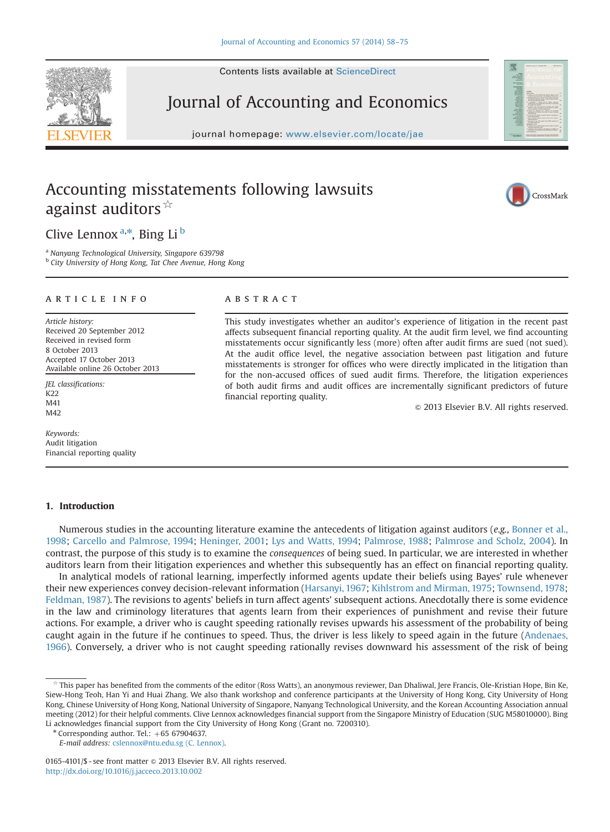# Journal of Accounting and Economics

journal homepage: <www.elsevier.com/locate/jae>

# Accounting misstatements following lawsuits against auditors  $\overrightarrow{x}$

# Clive Lennox<sup>a,\*</sup>, Bing Li<sup>b</sup>

<sup>a</sup> Nanyang Technological University, Singapore 639798 <sup>b</sup> City University of Hong Kong, Tat Chee Avenue, Hong Kong

#### article info

Article history: Received 20 September 2012 Received in revised form 8 October 2013 Accepted 17 October 2013 Available online 26 October 2013

JEL classifications: K22 M41 M42

Keywords: Audit litigation Financial reporting quality

## 1. Introduction

Numerous studies in the accounting literature examine the antecedents of litigation against auditors (e.g., [Bonner et al.,](#page-16-0) [1998](#page-16-0); [Carcello and Palmrose, 1994;](#page-16-0) [Heninger, 2001;](#page-16-0) [Lys and Watts, 1994](#page-16-0); [Palmrose, 1988;](#page-16-0) [Palmrose and Scholz, 2004\)](#page-16-0). In contrast, the purpose of this study is to examine the consequences of being sued. In particular, we are interested in whether auditors learn from their litigation experiences and whether this subsequently has an effect on financial reporting quality.

In analytical models of rational learning, imperfectly informed agents update their beliefs using Bayes' rule whenever their new experiences convey decision-relevant information [\(Harsanyi, 1967;](#page-16-0) [Kihlstrom and Mirman, 1975](#page-16-0); [Townsend, 1978](#page-17-0); [Feldman, 1987](#page-16-0)). The revisions to agents' beliefs in turn affect agents' subsequent actions. Anecdotally there is some evidence in the law and criminology literatures that agents learn from their experiences of punishment and revise their future actions. For example, a driver who is caught speeding rationally revises upwards his assessment of the probability of being caught again in the future if he continues to speed. Thus, the driver is less likely to speed again in the future [\(Andenaes,](#page-16-0) [1966](#page-16-0)). Conversely, a driver who is not caught speeding rationally revises downward his assessment of the risk of being

## **ABSTRACT**

This study investigates whether an auditor's experience of litigation in the recent past affects subsequent financial reporting quality. At the audit firm level, we find accounting misstatements occur significantly less (more) often after audit firms are sued (not sued). At the audit office level, the negative association between past litigation and future misstatements is stronger for offices who were directly implicated in the litigation than for the non-accused offices of sued audit firms. Therefore, the litigation experiences of both audit firms and audit offices are incrementally significant predictors of future financial reporting quality.

 $\odot$  2013 Elsevier B.V. All rights reserved.







This paper has benefited from the comments of the editor (Ross Watts), an anonymous reviewer, Dan Dhaliwal, Jere Francis, Ole-Kristian Hope, Bin Ke, Siew-Hong Teoh, Han Yi and Huai Zhang. We also thank workshop and conference participants at the University of Hong Kong, City University of Hong Kong, Chinese University of Hong Kong, National University of Singapore, Nanyang Technological University, and the Korean Accounting Association annual meeting (2012) for their helpful comments. Clive Lennox acknowledges financial support from the Singapore Ministry of Education (SUG M58010000). Bing Li acknowledges financial support from the City University of Hong Kong (Grant no. 7200310).

 $*$  Corresponding author. Tel.:  $+65$  67904637.

E-mail address: [cslennox@ntu.edu.sg \(C. Lennox\)](mailto:cslennox@ntu.edu.sg).

<sup>0165-4101/\$ -</sup> see front matter  $\odot$  2013 Elsevier B.V. All rights reserved. <http://dx.doi.org/10.1016/j.jacceco.2013.10.002>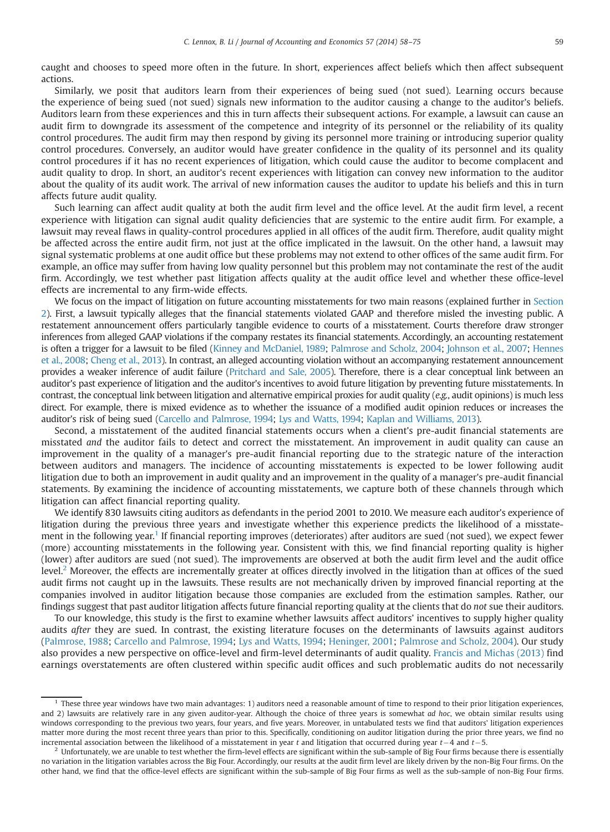caught and chooses to speed more often in the future. In short, experiences affect beliefs which then affect subsequent actions.

Similarly, we posit that auditors learn from their experiences of being sued (not sued). Learning occurs because the experience of being sued (not sued) signals new information to the auditor causing a change to the auditor's beliefs. Auditors learn from these experiences and this in turn affects their subsequent actions. For example, a lawsuit can cause an audit firm to downgrade its assessment of the competence and integrity of its personnel or the reliability of its quality control procedures. The audit firm may then respond by giving its personnel more training or introducing superior quality control procedures. Conversely, an auditor would have greater confidence in the quality of its personnel and its quality control procedures if it has no recent experiences of litigation, which could cause the auditor to become complacent and audit quality to drop. In short, an auditor's recent experiences with litigation can convey new information to the auditor about the quality of its audit work. The arrival of new information causes the auditor to update his beliefs and this in turn affects future audit quality.

Such learning can affect audit quality at both the audit firm level and the office level. At the audit firm level, a recent experience with litigation can signal audit quality deficiencies that are systemic to the entire audit firm. For example, a lawsuit may reveal flaws in quality-control procedures applied in all offices of the audit firm. Therefore, audit quality might be affected across the entire audit firm, not just at the office implicated in the lawsuit. On the other hand, a lawsuit may signal systematic problems at one audit office but these problems may not extend to other offices of the same audit firm. For example, an office may suffer from having low quality personnel but this problem may not contaminate the rest of the audit firm. Accordingly, we test whether past litigation affects quality at the audit office level and whether these office-level effects are incremental to any firm-wide effects.

We focus on the impact of litigation on future accounting misstatements for two main reasons (explained further in [Section](#page-2-0) [2](#page-2-0)). First, a lawsuit typically alleges that the financial statements violated GAAP and therefore misled the investing public. A restatement announcement offers particularly tangible evidence to courts of a misstatement. Courts therefore draw stronger inferences from alleged GAAP violations if the company restates its financial statements. Accordingly, an accounting restatement is often a trigger for a lawsuit to be filed [\(Kinney and McDaniel, 1989](#page-16-0); [Palmrose and Scholz, 2004;](#page-16-0) [Johnson et al., 2007;](#page-16-0) [Hennes](#page-16-0) [et al., 2008](#page-16-0); [Cheng et al., 2013](#page-16-0)). In contrast, an alleged accounting violation without an accompanying restatement announcement provides a weaker inference of audit failure ([Pritchard and Sale, 2005](#page-17-0)). Therefore, there is a clear conceptual link between an auditor's past experience of litigation and the auditor's incentives to avoid future litigation by preventing future misstatements. In contrast, the conceptual link between litigation and alternative empirical proxies for audit quality (e.g., audit opinions) is much less direct. For example, there is mixed evidence as to whether the issuance of a modified audit opinion reduces or increases the auditor's risk of being sued ([Carcello and Palmrose, 1994;](#page-16-0) [Lys and Watts, 1994;](#page-16-0) [Kaplan and Williams, 2013](#page-16-0)).

Second, a misstatement of the audited financial statements occurs when a client's pre-audit financial statements are misstated and the auditor fails to detect and correct the misstatement. An improvement in audit quality can cause an improvement in the quality of a manager's pre-audit financial reporting due to the strategic nature of the interaction between auditors and managers. The incidence of accounting misstatements is expected to be lower following audit litigation due to both an improvement in audit quality and an improvement in the quality of a manager's pre-audit financial statements. By examining the incidence of accounting misstatements, we capture both of these channels through which litigation can affect financial reporting quality.

We identify 830 lawsuits citing auditors as defendants in the period 2001 to 2010. We measure each auditor's experience of litigation during the previous three years and investigate whether this experience predicts the likelihood of a misstatement in the following year.<sup>1</sup> If financial reporting improves (deteriorates) after auditors are sued (not sued), we expect fewer (more) accounting misstatements in the following year. Consistent with this, we find financial reporting quality is higher (lower) after auditors are sued (not sued). The improvements are observed at both the audit firm level and the audit office level.2 Moreover, the effects are incrementally greater at offices directly involved in the litigation than at offices of the sued audit firms not caught up in the lawsuits. These results are not mechanically driven by improved financial reporting at the companies involved in auditor litigation because those companies are excluded from the estimation samples. Rather, our findings suggest that past auditor litigation affects future financial reporting quality at the clients that do not sue their auditors.

To our knowledge, this study is the first to examine whether lawsuits affect auditors' incentives to supply higher quality audits after they are sued. In contrast, the existing literature focuses on the determinants of lawsuits against auditors ([Palmrose, 1988;](#page-16-0) [Carcello and Palmrose, 1994;](#page-16-0) [Lys and Watts, 1994](#page-16-0); [Heninger, 2001](#page-16-0); [Palmrose and Scholz, 2004](#page-16-0)). Our study also provides a new perspective on office-level and firm-level determinants of audit quality. [Francis and Michas \(2013\)](#page-16-0) find earnings overstatements are often clustered within specific audit offices and such problematic audits do not necessarily

<sup>1</sup> These three year windows have two main advantages: 1) auditors need a reasonable amount of time to respond to their prior litigation experiences, and 2) lawsuits are relatively rare in any given auditor-year. Although the choice of three years is somewhat *ad hoc*, we obtain similar results using windows corresponding to the previous two years, four years, and five years. Moreover, in untabulated tests we find that auditors' litigation experiences matter more during the most recent three years than prior to this. Specifically, conditioning on auditor litigation during the prior three years, we find no incremental association between the likelihood of a misstatement in year  $t$  and litigation that occurred during year  $t$  – 4 and  $t$  – 5.  $\,$ 

 $<sup>2</sup>$  Unfortunately, we are unable to test whether the firm-level effects are significant within the sub-sample of Big Four firms because there is essentially</sup> no variation in the litigation variables across the Big Four. Accordingly, our results at the audit firm level are likely driven by the non-Big Four firms. On the other hand, we find that the office-level effects are significant within the sub-sample of Big Four firms as well as the sub-sample of non-Big Four firms.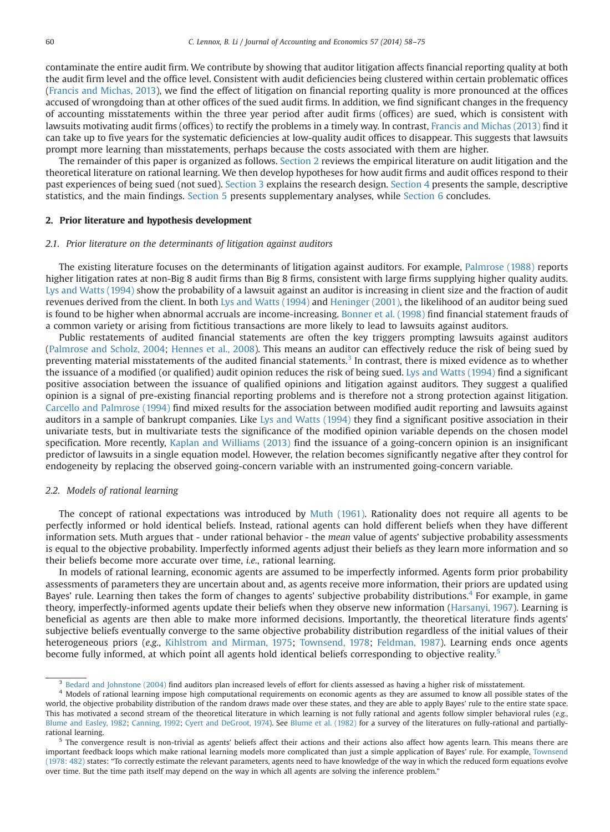<span id="page-2-0"></span>contaminate the entire audit firm. We contribute by showing that auditor litigation affects financial reporting quality at both the audit firm level and the office level. Consistent with audit deficiencies being clustered within certain problematic offices ([Francis and Michas, 2013](#page-16-0)), we find the effect of litigation on financial reporting quality is more pronounced at the offices accused of wrongdoing than at other offices of the sued audit firms. In addition, we find significant changes in the frequency of accounting misstatements within the three year period after audit firms (offices) are sued, which is consistent with lawsuits motivating audit firms (offices) to rectify the problems in a timely way. In contrast, [Francis and Michas \(2013\)](#page-16-0) find it can take up to five years for the systematic deficiencies at low-quality audit offices to disappear. This suggests that lawsuits prompt more learning than misstatements, perhaps because the costs associated with them are higher.

The remainder of this paper is organized as follows. Section 2 reviews the empirical literature on audit litigation and the theoretical literature on rational learning. We then develop hypotheses for how audit firms and audit offices respond to their past experiences of being sued (not sued). [Section 3](#page-4-0) explains the research design. [Section 4](#page-5-0) presents the sample, descriptive statistics, and the main findings. [Section 5](#page-12-0) presents supplementary analyses, while [Section 6](#page-13-0) concludes.

#### 2. Prior literature and hypothesis development

#### 2.1. Prior literature on the determinants of litigation against auditors

The existing literature focuses on the determinants of litigation against auditors. For example, [Palmrose \(1988\)](#page-16-0) reports higher litigation rates at non-Big 8 audit firms than Big 8 firms, consistent with large firms supplying higher quality audits. [Lys and Watts \(1994\)](#page-16-0) show the probability of a lawsuit against an auditor is increasing in client size and the fraction of audit revenues derived from the client. In both [Lys and Watts \(1994\)](#page-16-0) and [Heninger \(2001\)](#page-16-0), the likelihood of an auditor being sued is found to be higher when abnormal accruals are income-increasing. [Bonner et al. \(1998\)](#page-16-0) find financial statement frauds of a common variety or arising from fictitious transactions are more likely to lead to lawsuits against auditors.

Public restatements of audited financial statements are often the key triggers prompting lawsuits against auditors ([Palmrose and Scholz, 2004](#page-16-0); [Hennes et al., 2008](#page-16-0)). This means an auditor can effectively reduce the risk of being sued by preventing material misstatements of the audited financial statements.<sup>3</sup> In contrast, there is mixed evidence as to whether the issuance of a modified (or qualified) audit opinion reduces the risk of being sued. [Lys and Watts \(1994\)](#page-16-0) find a significant positive association between the issuance of qualified opinions and litigation against auditors. They suggest a qualified opinion is a signal of pre-existing financial reporting problems and is therefore not a strong protection against litigation. [Carcello and Palmrose \(1994\)](#page-16-0) find mixed results for the association between modified audit reporting and lawsuits against auditors in a sample of bankrupt companies. Like [Lys and Watts \(1994\)](#page-16-0) they find a significant positive association in their univariate tests, but in multivariate tests the significance of the modified opinion variable depends on the chosen model specification. More recently, [Kaplan and Williams \(2013\)](#page-16-0) find the issuance of a going-concern opinion is an insignificant predictor of lawsuits in a single equation model. However, the relation becomes significantly negative after they control for endogeneity by replacing the observed going-concern variable with an instrumented going-concern variable.

#### 2.2. Models of rational learning

The concept of rational expectations was introduced by [Muth \(1961\).](#page-16-0) Rationality does not require all agents to be perfectly informed or hold identical beliefs. Instead, rational agents can hold different beliefs when they have different information sets. Muth argues that - under rational behavior - the *mean* value of agents' subjective probability assessments is equal to the objective probability. Imperfectly informed agents adjust their beliefs as they learn more information and so their beliefs become more accurate over time, i.e., rational learning.

In models of rational learning, economic agents are assumed to be imperfectly informed. Agents form prior probability assessments of parameters they are uncertain about and, as agents receive more information, their priors are updated using Bayes' rule. Learning then takes the form of changes to agents' subjective probability distributions.<sup>4</sup> For example, in game theory, imperfectly-informed agents update their beliefs when they observe new information ([Harsanyi, 1967](#page-16-0)). Learning is beneficial as agents are then able to make more informed decisions. Importantly, the theoretical literature finds agents' subjective beliefs eventually converge to the same objective probability distribution regardless of the initial values of their heterogeneous priors (e.g., [Kihlstrom and Mirman, 1975;](#page-16-0) [Townsend, 1978](#page-17-0); [Feldman, 1987](#page-16-0)). Learning ends once agents become fully informed, at which point all agents hold identical beliefs corresponding to objective reality.<sup>5</sup>

 $3$  [Bedard and Johnstone \(2004\)](#page-16-0) find auditors plan increased levels of effort for clients assessed as having a higher risk of misstatement.

<sup>&</sup>lt;sup>4</sup> Models of rational learning impose high computational requirements on economic agents as they are assumed to know all possible states of the world, the objective probability distribution of the random draws made over these states, and they are able to apply Bayes' rule to the entire state space. This has motivated a second stream of the theoretical literature in which learning is not fully rational and agents follow simpler behavioral rules (e.g., [Blume and Easley, 1982](#page-16-0); [Canning, 1992;](#page-16-0) [Cyert and DeGroot, 1974](#page-16-0)). See [Blume et al. \(1982\)](#page-16-0) for a survey of the literatures on fully-rational and partiallyrational learning.

<sup>&</sup>lt;sup>5</sup> The convergence result is non-trivial as agents' beliefs affect their actions and their actions also affect how agents learn. This means there are important feedback loops which make rational learning models more complicated than just a simple application of Bayes' rule. For example, [Townsend](#page-17-0) [\(1978: 482\)](#page-17-0) states: "To correctly estimate the relevant parameters, agents need to have knowledge of the way in which the reduced form equations evolve over time. But the time path itself may depend on the way in which all agents are solving the inference problem."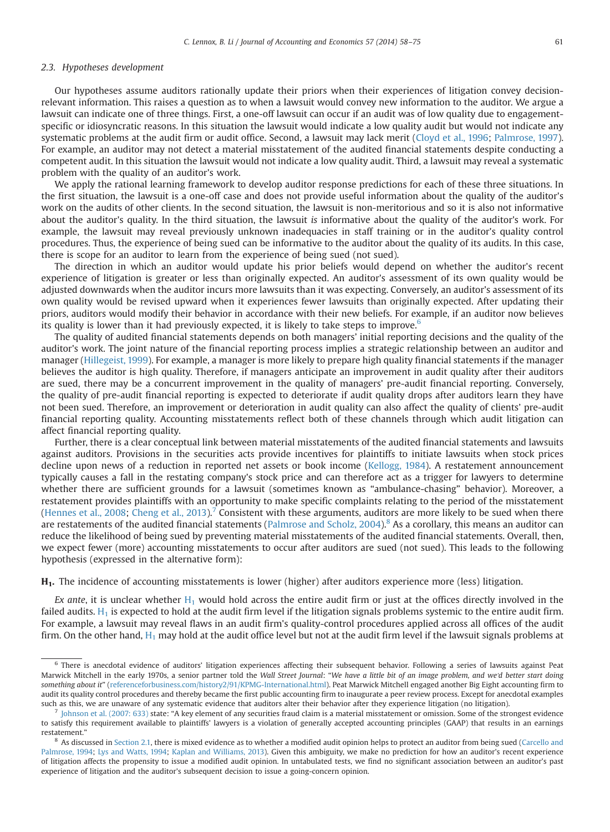### <span id="page-3-0"></span>2.3. Hypotheses development

Our hypotheses assume auditors rationally update their priors when their experiences of litigation convey decisionrelevant information. This raises a question as to when a lawsuit would convey new information to the auditor. We argue a lawsuit can indicate one of three things. First, a one-off lawsuit can occur if an audit was of low quality due to engagementspecific or idiosyncratic reasons. In this situation the lawsuit would indicate a low quality audit but would not indicate any systematic problems at the audit firm or audit office. Second, a lawsuit may lack merit [\(Cloyd et al., 1996;](#page-16-0) [Palmrose, 1997](#page-16-0)). For example, an auditor may not detect a material misstatement of the audited financial statements despite conducting a competent audit. In this situation the lawsuit would not indicate a low quality audit. Third, a lawsuit may reveal a systematic problem with the quality of an auditor's work.

We apply the rational learning framework to develop auditor response predictions for each of these three situations. In the first situation, the lawsuit is a one-off case and does not provide useful information about the quality of the auditor's work on the audits of other clients. In the second situation, the lawsuit is non-meritorious and so it is also not informative about the auditor's quality. In the third situation, the lawsuit is informative about the quality of the auditor's work. For example, the lawsuit may reveal previously unknown inadequacies in staff training or in the auditor's quality control procedures. Thus, the experience of being sued can be informative to the auditor about the quality of its audits. In this case, there is scope for an auditor to learn from the experience of being sued (not sued).

The direction in which an auditor would update his prior beliefs would depend on whether the auditor's recent experience of litigation is greater or less than originally expected. An auditor's assessment of its own quality would be adjusted downwards when the auditor incurs more lawsuits than it was expecting. Conversely, an auditor's assessment of its own quality would be revised upward when it experiences fewer lawsuits than originally expected. After updating their priors, auditors would modify their behavior in accordance with their new beliefs. For example, if an auditor now believes its quality is lower than it had previously expected, it is likely to take steps to improve.<sup>6</sup>

The quality of audited financial statements depends on both managers' initial reporting decisions and the quality of the auditor's work. The joint nature of the financial reporting process implies a strategic relationship between an auditor and manager ([Hillegeist, 1999](#page-16-0)). For example, a manager is more likely to prepare high quality financial statements if the manager believes the auditor is high quality. Therefore, if managers anticipate an improvement in audit quality after their auditors are sued, there may be a concurrent improvement in the quality of managers' pre-audit financial reporting. Conversely, the quality of pre-audit financial reporting is expected to deteriorate if audit quality drops after auditors learn they have not been sued. Therefore, an improvement or deterioration in audit quality can also affect the quality of clients' pre-audit financial reporting quality. Accounting misstatements reflect both of these channels through which audit litigation can affect financial reporting quality.

Further, there is a clear conceptual link between material misstatements of the audited financial statements and lawsuits against auditors. Provisions in the securities acts provide incentives for plaintiffs to initiate lawsuits when stock prices decline upon news of a reduction in reported net assets or book income ([Kellogg, 1984\)](#page-16-0). A restatement announcement typically causes a fall in the restating company's stock price and can therefore act as a trigger for lawyers to determine whether there are sufficient grounds for a lawsuit (sometimes known as "ambulance-chasing" behavior). Moreover, a restatement provides plaintiffs with an opportunity to make specific complaints relating to the period of the misstatement ([Hennes et al., 2008](#page-16-0); [Cheng et al., 2013\)](#page-16-0).<sup>7</sup> Consistent with these arguments, auditors are more likely to be sued when there are restatements of the audited financial statements ([Palmrose and Scholz, 2004\)](#page-16-0).<sup>8</sup> As a corollary, this means an auditor can reduce the likelihood of being sued by preventing material misstatements of the audited financial statements. Overall, then, we expect fewer (more) accounting misstatements to occur after auditors are sued (not sued). This leads to the following hypothesis (expressed in the alternative form):

H1. The incidence of accounting misstatements is lower (higher) after auditors experience more (less) litigation.

Ex ante, it is unclear whether  $H_1$  would hold across the entire audit firm or just at the offices directly involved in the failed audits.  $H_1$  is expected to hold at the audit firm level if the litigation signals problems systemic to the entire audit firm. For example, a lawsuit may reveal flaws in an audit firm's quality-control procedures applied across all offices of the audit firm. On the other hand,  $H_1$  may hold at the audit office level but not at the audit firm level if the lawsuit signals problems at

<sup>6</sup> There is anecdotal evidence of auditors' litigation experiences affecting their subsequent behavior. Following a series of lawsuits against Peat Marwick Mitchell in the early 1970s, a senior partner told the Wall Street Journal: "We have a little bit of an image problem, and we'd better start doing something about it" [\(referenceforbusiness.com/history2/91/KPMG-International.html](referenceforbusiness.com/history2/91/KPMG-International.html)). Peat Marwick Mitchell engaged another Big Eight accounting firm to audit its quality control procedures and thereby became the first public accounting firm to inaugurate a peer review process. Except for anecdotal examples such as this, we are unaware of any systematic evidence that auditors alter their behavior after they experience litigation (no litigation).

<sup>&</sup>lt;sup>7</sup> [Johnson et al. \(2007: 633\)](#page-16-0) state: "A key element of any securities fraud claim is a material misstatement or omission. Some of the strongest evidence to satisfy this requirement available to plaintiffs' lawyers is a violation of generally accepted accounting principles (GAAP) that results in an earnings restatement."

<sup>&</sup>lt;sup>8</sup> As discussed in [Section 2.1,](#page-2-0) there is mixed evidence as to whether a modified audit opinion helps to protect an auditor from being sued ([Carcello and](#page-16-0) [Palmrose, 1994;](#page-16-0) [Lys and Watts, 1994;](#page-16-0) [Kaplan and Williams, 2013\)](#page-16-0). Given this ambiguity, we make no prediction for how an auditor's recent experience of litigation affects the propensity to issue a modified audit opinion. In untabulated tests, we find no significant association between an auditor's past experience of litigation and the auditor's subsequent decision to issue a going-concern opinion.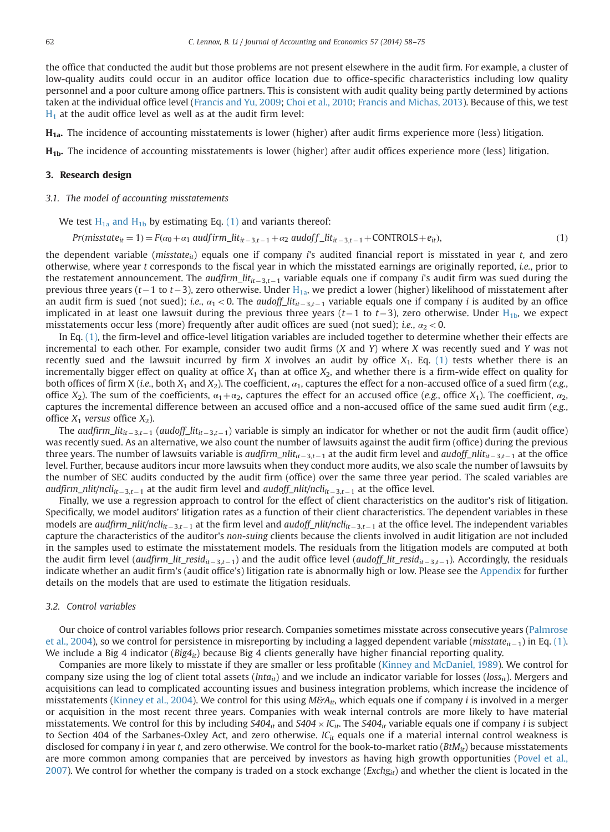<span id="page-4-0"></span>the office that conducted the audit but those problems are not present elsewhere in the audit firm. For example, a cluster of low-quality audits could occur in an auditor office location due to office-specific characteristics including low quality personnel and a poor culture among office partners. This is consistent with audit quality being partly determined by actions taken at the individual office level [\(Francis and Yu, 2009;](#page-16-0) [Choi et al., 2010;](#page-16-0) [Francis and Michas, 2013](#page-16-0)). Because of this, we test  $H_1$  at the audit office level as well as at the audit firm level:

H1a. The incidence of accounting misstatements is lower (higher) after audit firms experience more (less) litigation.

H1b. The incidence of accounting misstatements is lower (higher) after audit offices experience more (less) litigation.

## 3. Research design

#### 3.1. The model of accounting misstatements

We test  $H_{1a}$  and  $H_{1b}$  by estimating Eq. (1) and variants thereof:

$$
Pr(misstate_{it} = 1) = F(\alpha_0 + \alpha_1 \text{ and firm\_lit}_{it-3,t-1} + \alpha_2 \text{ and off\_lit}_{it-3,t-1} + \text{CONTROLS} + e_{it}),
$$
\n
$$
(1)
$$

the dependent variable (*misstate<sub>it</sub>*) equals one if company *i*'s audited financial report is misstated in year t, and zero otherwise, where year t corresponds to the fiscal year in which the misstated earnings are originally reported, i.e., prior to the restatement announcement. The *audfirm\_lit<sub>it-3,t-1</sub>* variable equals one if company *i*'s audit firm was sued during the previous three years  $(t-1$  to  $t-3$ ), zero otherwise. Under  $H_{1a}$ , we predict a lower (higher) likelihood of misstatement after an audit firm is sued (not sued); *i.e.*,  $\alpha_1 < 0$ . The *audoff*\_lit<sub>it-3,t-1</sub> variable equals one if company *i* is audited by an office implicated in at least one lawsuit during the previous three years  $(t-1)$  to  $t-3$ ), zero otherwise. Under  $H_{1b}$ , we expect misstatements occur less (more) frequently after audit offices are sued (not sued); i.e.,  $\alpha_2 < 0$ .

In Eq. (1), the firm-level and office-level litigation variables are included together to determine whether their effects are incremental to each other. For example, consider two audit firms (X and Y) where X was recently sued and Y was not recently sued and the lawsuit incurred by firm X involves an audit by office  $X_1$ . Eq. (1) tests whether there is an incrementally bigger effect on quality at office  $X_1$  than at office  $X_2$ , and whether there is a firm-wide effect on quality for both offices of firm X (i.e., both  $X_1$  and  $X_2$ ). The coefficient,  $\alpha_1$ , captures the effect for a non-accused office of a sued firm (e.g., office  $X_2$ ). The sum of the coefficients,  $α_1 + α_2$ , captures the effect for an accused office (e.g., office  $X_1$ ). The coefficient,  $α_2$ , captures the incremental difference between an accused office and a non-accused office of the same sued audit firm (e.g., office  $X_1$  versus office  $X_2$ ).

The audfirm\_lit<sub>it-3,t-1</sub> (audoff\_lit<sub>it-3,t-1</sub>) variable is simply an indicator for whether or not the audit firm (audit office) was recently sued. As an alternative, we also count the number of lawsuits against the audit firm (office) during the previous three years. The number of lawsuits variable is *audfirm\_nlit<sub>it-3,t-1</sub>* at the audit firm level and *audoff\_nlit<sub>it-3,t-1</sub>* at the office level. Further, because auditors incur more lawsuits when they conduct more audits, we also scale the number of lawsuits by the number of SEC audits conducted by the audit firm (office) over the same three year period. The scaled variables are audfirm\_nlit/ncli<sub>it-3,t-1</sub> at the audit firm level and audoff\_nlit/ncli<sub>it-3,t-1</sub> at the office level.

Finally, we use a regression approach to control for the effect of client characteristics on the auditor's risk of litigation. Specifically, we model auditors' litigation rates as a function of their client characteristics. The dependent variables in these models are *audfirm\_nlit/ncli<sub>it-3,t-1</sub>* at the firm level and *audoff\_nlit/ncli<sub>it-3,t-1*</sub> at the office level. The independent variables capture the characteristics of the auditor's non-suing clients because the clients involved in audit litigation are not included in the samples used to estimate the misstatement models. The residuals from the litigation models are computed at both the audit firm level (audfirm\_lit\_resid<sub>it-3,t-1</sub>) and the audit office level (audoff\_lit\_resid<sub>it-3,t-1</sub>). Accordingly, the residuals indicate whether an audit firm's (audit office's) litigation rate is abnormally high or low. Please see the [Appendix](#page-14-0) for further details on the models that are used to estimate the litigation residuals.

#### 3.2. Control variables

Our choice of control variables follows prior research. Companies sometimes misstate across consecutive years [\(Palmrose](#page-16-0) [et al., 2004](#page-16-0)), so we control for persistence in misreporting by including a lagged dependent variable (*misstate*<sub>it-1</sub>) in Eq. (1). We include a Big 4 indicator ( $Big_{it}$ ) because Big 4 clients generally have higher financial reporting quality.

Companies are more likely to misstate if they are smaller or less profitable [\(Kinney and McDaniel, 1989\)](#page-16-0). We control for company size using the log of client total assets ( $ln ta_{it}$ ) and we include an indicator variable for losses ( $loss_{it}$ ). Mergers and acquisitions can lead to complicated accounting issues and business integration problems, which increase the incidence of misstatements [\(Kinney et al., 2004\)](#page-16-0). We control for this using  $M \delta A_{it}$ , which equals one if company *i* is involved in a merger or acquisition in the most recent three years. Companies with weak internal controls are more likely to have material misstatements. We control for this by including  $S404_{it}$  and  $S404 \times IC_{it}$ . The  $S404_{it}$  variable equals one if company *i* is subject to Section 404 of the Sarbanes-Oxley Act, and zero otherwise.  $IC_{it}$  equals one if a material internal control weakness is disclosed for company *i* in year *t*, and zero otherwise. We control for the book-to-market ratio ( $BtM_{it}$ ) because misstatements are more common among companies that are perceived by investors as having high growth opportunities [\(Povel et al.,](#page-16-0) [2007\)](#page-16-0). We control for whether the company is traded on a stock exchange ( $Exchg_{it}$ ) and whether the client is located in the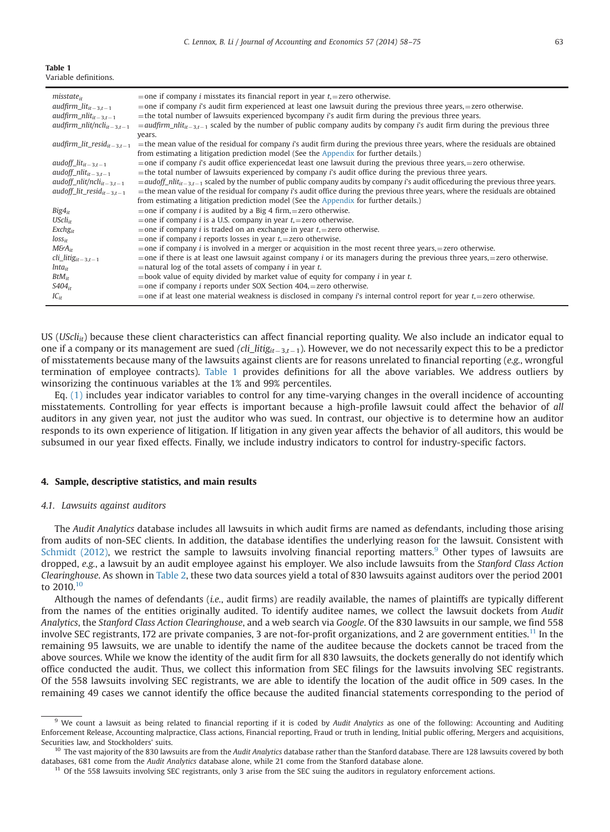#### <span id="page-5-0"></span>Table 1 Variable definitions.

| = one if company <i>i</i> misstates its financial report in year $t$ , = zero otherwise.<br>$mis state_{ir}$<br>$\epsilon$ = one if company i's audit firm experienced at least one lawsuit during the previous three years, = zero otherwise.<br>audfirm_lit <sub>it – 3t</sub> -1<br>$=$ the total number of lawsuits experienced bycompany i's audit firm during the previous three years.<br>audfirm_nlit <sub>it – 3</sub> $t-1$<br>$=$ audfirm_nlit <sub>it-3t-1</sub> scaled by the number of public company audits by company i's audit firm during the previous three<br>audfirm_nlit/ncli <sub>it -3.t-1</sub><br>years.<br>$=$ the mean value of the residual for company i's audit firm during the previous three years, where the residuals are obtained<br>audfirm_lit_resid <sub>it - 3.t - 1</sub><br>from estimating a litigation prediction model (See the Appendix for further details.)<br>$=$ one if company i's audit office experiencedat least one lawsuit during the previous three years, $=$ zero otherwise.<br>audoff_lit <sub>it – 3t</sub> -1<br>$=$ the total number of lawsuits experienced by company <i>i</i> 's audit office during the previous three years.<br>audoff_nlit <sub>it – 3t-1</sub><br>$=$ audoff nlit <sub>it-3t-1</sub> scaled by the number of public company audits by company i's audit officeduring the previous three years.<br>audoff_nlit/ncli <sub>it</sub> _3,t_1 |
|-------------------------------------------------------------------------------------------------------------------------------------------------------------------------------------------------------------------------------------------------------------------------------------------------------------------------------------------------------------------------------------------------------------------------------------------------------------------------------------------------------------------------------------------------------------------------------------------------------------------------------------------------------------------------------------------------------------------------------------------------------------------------------------------------------------------------------------------------------------------------------------------------------------------------------------------------------------------------------------------------------------------------------------------------------------------------------------------------------------------------------------------------------------------------------------------------------------------------------------------------------------------------------------------------------------------------------------------------------------------------------------------------------------------------------|
|                                                                                                                                                                                                                                                                                                                                                                                                                                                                                                                                                                                                                                                                                                                                                                                                                                                                                                                                                                                                                                                                                                                                                                                                                                                                                                                                                                                                                               |
|                                                                                                                                                                                                                                                                                                                                                                                                                                                                                                                                                                                                                                                                                                                                                                                                                                                                                                                                                                                                                                                                                                                                                                                                                                                                                                                                                                                                                               |
|                                                                                                                                                                                                                                                                                                                                                                                                                                                                                                                                                                                                                                                                                                                                                                                                                                                                                                                                                                                                                                                                                                                                                                                                                                                                                                                                                                                                                               |
|                                                                                                                                                                                                                                                                                                                                                                                                                                                                                                                                                                                                                                                                                                                                                                                                                                                                                                                                                                                                                                                                                                                                                                                                                                                                                                                                                                                                                               |
|                                                                                                                                                                                                                                                                                                                                                                                                                                                                                                                                                                                                                                                                                                                                                                                                                                                                                                                                                                                                                                                                                                                                                                                                                                                                                                                                                                                                                               |
|                                                                                                                                                                                                                                                                                                                                                                                                                                                                                                                                                                                                                                                                                                                                                                                                                                                                                                                                                                                                                                                                                                                                                                                                                                                                                                                                                                                                                               |
| $=$ the mean value of the residual for company i's audit office during the previous three years, where the residuals are obtained<br>audoff_lit_resid <sub>it-3.t-1</sub>                                                                                                                                                                                                                                                                                                                                                                                                                                                                                                                                                                                                                                                                                                                                                                                                                                                                                                                                                                                                                                                                                                                                                                                                                                                     |
| from estimating a litigation prediction model (See the Appendix for further details.)                                                                                                                                                                                                                                                                                                                                                                                                                                                                                                                                                                                                                                                                                                                                                                                                                                                                                                                                                                                                                                                                                                                                                                                                                                                                                                                                         |
| $=$ one if company <i>i</i> is audited by a Big 4 firm, $=$ zero otherwise.<br>$Big4_{it}$                                                                                                                                                                                                                                                                                                                                                                                                                                                                                                                                                                                                                                                                                                                                                                                                                                                                                                                                                                                                                                                                                                                                                                                                                                                                                                                                    |
| = one if company <i>i</i> is a U.S. company in year $t$ , = zero otherwise.<br>$UScli_{it}$                                                                                                                                                                                                                                                                                                                                                                                                                                                                                                                                                                                                                                                                                                                                                                                                                                                                                                                                                                                                                                                                                                                                                                                                                                                                                                                                   |
| = one if company <i>i</i> is traded on an exchange in year $t$ , = zero otherwise.<br>$Exchg_{it}$                                                                                                                                                                                                                                                                                                                                                                                                                                                                                                                                                                                                                                                                                                                                                                                                                                                                                                                                                                                                                                                                                                                                                                                                                                                                                                                            |
| = one if company <i>i</i> reports losses in year $t$ , = zero otherwise.<br>$loss_{it}$                                                                                                                                                                                                                                                                                                                                                                                                                                                                                                                                                                                                                                                                                                                                                                                                                                                                                                                                                                                                                                                                                                                                                                                                                                                                                                                                       |
| $\epsilon$ = one if company <i>i</i> is involved in a merger or acquisition in the most recent three years, = zero otherwise.<br>$M\mathcal{S}A_{ir}$                                                                                                                                                                                                                                                                                                                                                                                                                                                                                                                                                                                                                                                                                                                                                                                                                                                                                                                                                                                                                                                                                                                                                                                                                                                                         |
| $=$ one if there is at least one lawsuit against company <i>i</i> or its managers during the previous three years, $=$ zero otherwise.<br>cli_litig <sub>it – 3,t – 1</sub>                                                                                                                                                                                                                                                                                                                                                                                                                                                                                                                                                                                                                                                                                                                                                                                                                                                                                                                                                                                                                                                                                                                                                                                                                                                   |
| $=$ natural log of the total assets of company <i>i</i> in year <i>t</i> .<br>$ln t a_{ir}$                                                                                                                                                                                                                                                                                                                                                                                                                                                                                                                                                                                                                                                                                                                                                                                                                                                                                                                                                                                                                                                                                                                                                                                                                                                                                                                                   |
| $=$ book value of equity divided by market value of equity for company i in year t.<br>$BtM_{ir}$                                                                                                                                                                                                                                                                                                                                                                                                                                                                                                                                                                                                                                                                                                                                                                                                                                                                                                                                                                                                                                                                                                                                                                                                                                                                                                                             |
| $=$ one if company <i>i</i> reports under SOX Section 404, $=$ zero otherwise.<br>$S404_{it}$                                                                                                                                                                                                                                                                                                                                                                                                                                                                                                                                                                                                                                                                                                                                                                                                                                                                                                                                                                                                                                                                                                                                                                                                                                                                                                                                 |
| = one if at least one material weakness is disclosed in company i's internal control report for year $t$ , = zero otherwise.<br>$IC_{ir}$                                                                                                                                                                                                                                                                                                                                                                                                                                                                                                                                                                                                                                                                                                                                                                                                                                                                                                                                                                                                                                                                                                                                                                                                                                                                                     |

US (UScli<sub>it</sub>) because these client characteristics can affect financial reporting quality. We also include an indicator equal to one if a company or its management are sued (cli\_litig<sub>it-3,t-1</sub>). However, we do not necessarily expect this to be a predictor of misstatements because many of the lawsuits against clients are for reasons unrelated to financial reporting  $(e.g.,$  wrongful termination of employee contracts). Table 1 provides definitions for all the above variables. We address outliers by winsorizing the continuous variables at the 1% and 99% percentiles.

Eq. [\(1\)](#page-4-0) includes year indicator variables to control for any time-varying changes in the overall incidence of accounting misstatements. Controlling for year effects is important because a high-profile lawsuit could affect the behavior of all auditors in any given year, not just the auditor who was sued. In contrast, our objective is to determine how an auditor responds to its own experience of litigation. If litigation in any given year affects the behavior of all auditors, this would be subsumed in our year fixed effects. Finally, we include industry indicators to control for industry-specific factors.

## 4. Sample, descriptive statistics, and main results

#### 4.1. Lawsuits against auditors

The Audit Analytics database includes all lawsuits in which audit firms are named as defendants, including those arising from audits of non-SEC clients. In addition, the database identifies the underlying reason for the lawsuit. Consistent with [Schmidt \(2012\)](#page-17-0), we restrict the sample to lawsuits involving financial reporting matters.<sup>9</sup> Other types of lawsuits are dropped, e.g., a lawsuit by an audit employee against his employer. We also include lawsuits from the Stanford Class Action Clearinghouse. As shown in [Table 2](#page-6-0), these two data sources yield a total of 830 lawsuits against auditors over the period 2001 to 2010.10

Although the names of defendants (i.e., audit firms) are readily available, the names of plaintiffs are typically different from the names of the entities originally audited. To identify auditee names, we collect the lawsuit dockets from Audit Analytics, the Stanford Class Action Clearinghouse, and a web search via Google. Of the 830 lawsuits in our sample, we find 558 involve SEC registrants, 172 are private companies, 3 are not-for-profit organizations, and 2 are government entities.<sup>11</sup> In the remaining 95 lawsuits, we are unable to identify the name of the auditee because the dockets cannot be traced from the above sources. While we know the identity of the audit firm for all 830 lawsuits, the dockets generally do not identify which office conducted the audit. Thus, we collect this information from SEC filings for the lawsuits involving SEC registrants. Of the 558 lawsuits involving SEC registrants, we are able to identify the location of the audit office in 509 cases. In the remaining 49 cases we cannot identify the office because the audited financial statements corresponding to the period of

<sup>&</sup>lt;sup>9</sup> We count a lawsuit as being related to financial reporting if it is coded by Audit Analytics as one of the following: Accounting and Auditing Enforcement Release, Accounting malpractice, Class actions, Financial reporting, Fraud or truth in lending, Initial public offering, Mergers and acquisitions, Securities law, and Stockholders' suits.

<sup>&</sup>lt;sup>10</sup> The vast majority of the 830 lawsuits are from the Audit Analytics database rather than the Stanford database. There are 128 lawsuits covered by both databases, 681 come from the Audit Analytics database alone, while 21 come from the Stanford database alone.

 $11$  Of the 558 lawsuits involving SEC registrants, only 3 arise from the SEC suing the auditors in regulatory enforcement actions.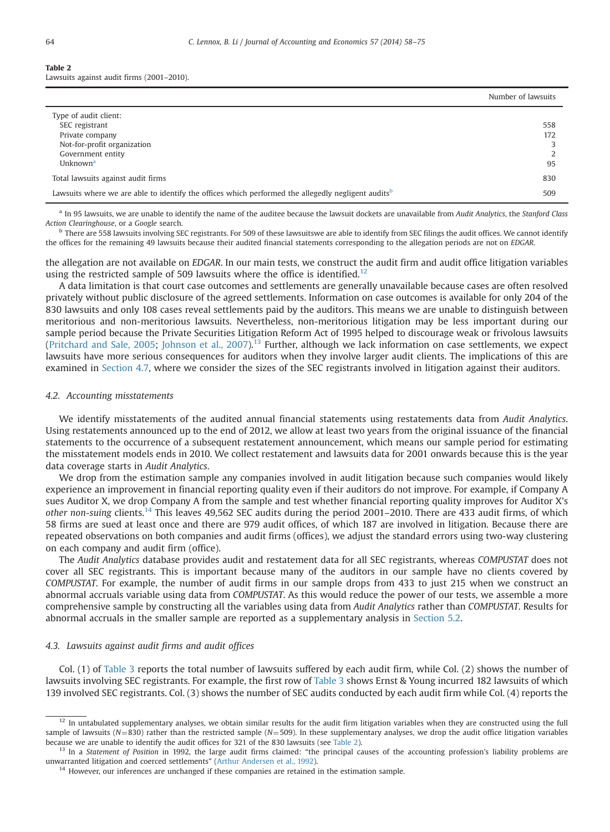### <span id="page-6-0"></span>Table 2 Lawsuits against audit firms (2001–2010).

|                                                                                                                | Number of lawsuits |
|----------------------------------------------------------------------------------------------------------------|--------------------|
| Type of audit client:                                                                                          |                    |
| SEC registrant                                                                                                 | 558                |
| Private company                                                                                                | 172                |
| Not-for-profit organization                                                                                    |                    |
| Government entity                                                                                              |                    |
| Unknown <sup>a</sup>                                                                                           | 95                 |
| Total lawsuits against audit firms                                                                             | 830                |
| Lawsuits where we are able to identify the offices which performed the allegedly negligent audits <sup>b</sup> | 509                |

<sup>a</sup> In 95 lawsuits, we are unable to identify the name of the auditee because the lawsuit dockets are unavailable from Audit Analytics, the Stanford Class Action Clearinghouse, or a Google search.

 $<sup>b</sup>$  There are 558 lawsuits involving SEC registrants. For 509 of these lawsuitswe are able to identify from SEC filings the audit offices. We cannot identify</sup> the offices for the remaining 49 lawsuits because their audited financial statements corresponding to the allegation periods are not on EDGAR.

the allegation are not available on EDGAR. In our main tests, we construct the audit firm and audit office litigation variables using the restricted sample of 509 lawsuits where the office is identified.<sup>12</sup>

A data limitation is that court case outcomes and settlements are generally unavailable because cases are often resolved privately without public disclosure of the agreed settlements. Information on case outcomes is available for only 204 of the 830 lawsuits and only 108 cases reveal settlements paid by the auditors. This means we are unable to distinguish between meritorious and non-meritorious lawsuits. Nevertheless, non-meritorious litigation may be less important during our sample period because the Private Securities Litigation Reform Act of 1995 helped to discourage weak or frivolous lawsuits ([Pritchard and Sale, 2005;](#page-17-0) [Johnson et al., 2007](#page-16-0)).<sup>13</sup> Further, although we lack information on case settlements, we expect lawsuits have more serious consequences for auditors when they involve larger audit clients. The implications of this are examined in [Section 4.7,](#page-10-0) where we consider the sizes of the SEC registrants involved in litigation against their auditors.

#### 4.2. Accounting misstatements

We identify misstatements of the audited annual financial statements using restatements data from Audit Analytics. Using restatements announced up to the end of 2012, we allow at least two years from the original issuance of the financial statements to the occurrence of a subsequent restatement announcement, which means our sample period for estimating the misstatement models ends in 2010. We collect restatement and lawsuits data for 2001 onwards because this is the year data coverage starts in Audit Analytics.

We drop from the estimation sample any companies involved in audit litigation because such companies would likely experience an improvement in financial reporting quality even if their auditors do not improve. For example, if Company A sues Auditor X, we drop Company A from the sample and test whether financial reporting quality improves for Auditor X's other non-suing clients.14 This leaves 49,562 SEC audits during the period 2001–2010. There are 433 audit firms, of which 58 firms are sued at least once and there are 979 audit offices, of which 187 are involved in litigation. Because there are repeated observations on both companies and audit firms (offices), we adjust the standard errors using two-way clustering on each company and audit firm (office).

The Audit Analytics database provides audit and restatement data for all SEC registrants, whereas COMPUSTAT does not cover all SEC registrants. This is important because many of the auditors in our sample have no clients covered by COMPUSTAT. For example, the number of audit firms in our sample drops from 433 to just 215 when we construct an abnormal accruals variable using data from COMPUSTAT. As this would reduce the power of our tests, we assemble a more comprehensive sample by constructing all the variables using data from Audit Analytics rather than COMPUSTAT. Results for abnormal accruals in the smaller sample are reported as a supplementary analysis in [Section 5.2](#page-13-0).

#### 4.3. Lawsuits against audit firms and audit offices

Col. (1) of [Table 3](#page-7-0) reports the total number of lawsuits suffered by each audit firm, while Col. (2) shows the number of lawsuits involving SEC registrants. For example, the first row of [Table 3](#page-7-0) shows Ernst & Young incurred 182 lawsuits of which 139 involved SEC registrants. Col. (3) shows the number of SEC audits conducted by each audit firm while Col. (4) reports the

<sup>&</sup>lt;sup>12</sup> In untabulated supplementary analyses, we obtain similar results for the audit firm litigation variables when they are constructed using the full sample of lawsuits (N=830) rather than the restricted sample (N=509). In these supplementary analyses, we drop the audit office litigation variables because we are unable to identify the audit offices for 321 of the 830 lawsuits (see Table 2).

<sup>&</sup>lt;sup>13</sup> In a Statement of Position in 1992, the large audit firms claimed: "the principal causes of the accounting profession's liability problems are unwarranted litigation and coerced settlements" ([Arthur Andersen et al., 1992](#page-16-0)).

<sup>&</sup>lt;sup>14</sup> However, our inferences are unchanged if these companies are retained in the estimation sample.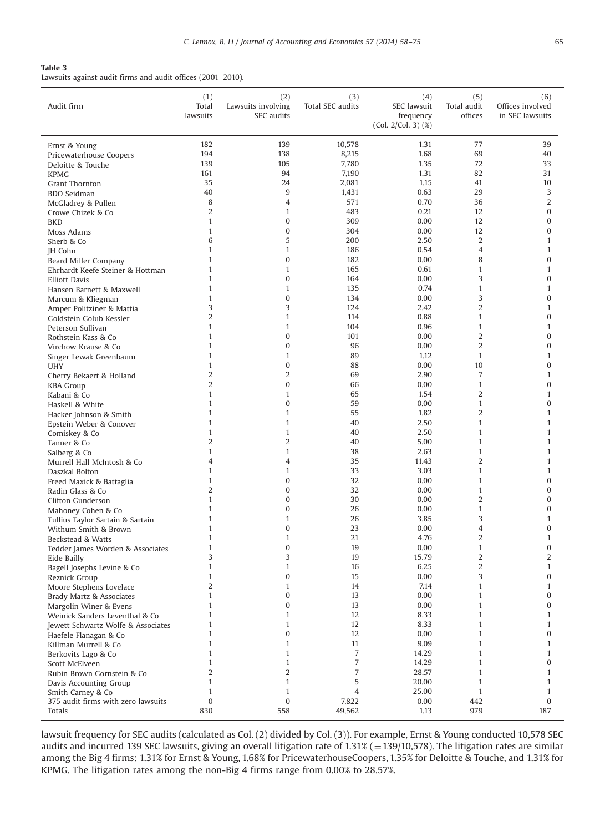<span id="page-7-0"></span>Lawsuits against audit firms and audit offices (2001–2010).

| Audit firm                            | (1)<br>Total<br>lawsuits     | (2)<br>Lawsuits involving<br>SEC audits | (3)<br>Total SEC audits | (4)<br>SEC lawsuit<br>frequency<br>$(Col. 2/Col. 3)$ $(\%)$ | (5)<br>Total audit<br>offices    | (6)<br>Offices involved<br>in SEC lawsuits |
|---------------------------------------|------------------------------|-----------------------------------------|-------------------------|-------------------------------------------------------------|----------------------------------|--------------------------------------------|
| Ernst & Young                         | 182                          | 139                                     | 10,578                  | 1.31                                                        | 77                               | 39                                         |
| Pricewaterhouse Coopers               | 194                          | 138                                     | 8,215                   | 1.68                                                        | 69                               | 40                                         |
| Deloitte & Touche                     | 139                          | 105                                     | 7,780                   | 1.35                                                        | 72                               | 33                                         |
| <b>KPMG</b>                           | 161                          | 94                                      | 7,190                   | 1.31                                                        | 82                               | 31                                         |
| <b>Grant Thornton</b>                 | 35                           | 24                                      | 2,081                   | 1.15                                                        | 41                               | 10                                         |
| <b>BDO</b> Seidman                    | 40                           | 9                                       | 1,431                   | 0.63                                                        | 29                               | 3                                          |
| McGladrey & Pullen                    | 8                            | 4                                       | 571                     | 0.70                                                        | 36                               | $\overline{2}$                             |
| Crowe Chizek & Co                     | $\overline{2}$               | $\mathbf{1}$                            | 483                     | 0.21                                                        | 12                               | $\mathbf{0}$                               |
| <b>BKD</b>                            | $\mathbf{1}$                 | 0                                       | 309                     | 0.00                                                        | 12                               | 0                                          |
| Moss Adams                            | $\mathbf{1}$                 | 0                                       | 304                     | 0.00                                                        | 12                               | 0                                          |
| Sherb & Co                            | 6                            | 5                                       | 200                     | 2.50                                                        | 2                                | 1                                          |
| JH Cohn                               | $\mathbf{1}$                 | $\mathbf{1}$                            | 186                     | 0.54                                                        | $\overline{4}$                   | $\mathbf{1}$                               |
| Beard Miller Company                  | $\mathbf{1}$                 | 0                                       | 182                     | 0.00                                                        | 8                                | 0                                          |
| Ehrhardt Keefe Steiner & Hottman      | $\mathbf{1}$                 | $\mathbf{1}$                            | 165                     | 0.61                                                        | $\mathbf{1}$                     | 1                                          |
| <b>Elliott Davis</b>                  | $\mathbf{1}$                 | $\overline{0}$                          | 164                     | 0.00                                                        | 3                                | $\overline{0}$                             |
| Hansen Barnett & Maxwell              | $\mathbf{1}$                 | $\mathbf{1}$                            | 135                     | 0.74                                                        | $\mathbf{1}$                     | $\mathbf{1}$                               |
| Marcum & Kliegman                     | $\mathbf{1}$                 | 0                                       | 134                     | 0.00                                                        | 3                                | 0                                          |
| Amper Politziner & Mattia             | 3                            | 3                                       | 124                     | 2.42                                                        | $\overline{2}$                   | $\mathbf{1}$                               |
| Goldstein Golub Kessler               | $\overline{2}$               | $\mathbf{1}$                            | 114                     | 0.88                                                        | $\mathbf{1}$                     | $\overline{0}$                             |
| Peterson Sullivan                     | $\mathbf{1}$                 | $\mathbf{1}$                            | 104                     | 0.96                                                        | $\mathbf{1}$                     | $\mathbf{1}$                               |
| Rothstein Kass & Co                   | $\mathbf{1}$<br>$\mathbf{1}$ | 0<br>0                                  | 101                     | 0.00                                                        | $\overline{2}$<br>$\overline{2}$ | 0<br>$\overline{0}$                        |
| Virchow Krause & Co                   | $\mathbf{1}$                 | $\mathbf{1}$                            | 96<br>89                | 0.00<br>1.12                                                | $\mathbf{1}$                     | $\mathbf{1}$                               |
| Singer Lewak Greenbaum                | $\mathbf{1}$                 | 0                                       | 88                      | 0.00                                                        | 10                               | 0                                          |
| <b>UHY</b>                            | $\overline{2}$               | 2                                       | 69                      | 2.90                                                        | 7                                | $\mathbf{1}$                               |
| Cherry Bekaert & Holland              | $\overline{2}$               | 0                                       | 66                      | 0.00                                                        | $\mathbf{1}$                     | $\mathbf{0}$                               |
| <b>KBA Group</b><br>Kabani & Co       | $\mathbf{1}$                 | $\mathbf{1}$                            | 65                      | 1.54                                                        | 2                                | $\mathbf{1}$                               |
| Haskell & White                       | $\mathbf{1}$                 | 0                                       | 59                      | 0.00                                                        | $\mathbf{1}$                     | 0                                          |
| Hacker Johnson & Smith                | $\mathbf{1}$                 | $\mathbf{1}$                            | 55                      | 1.82                                                        | 2                                | $\mathbf{1}$                               |
| Epstein Weber & Conover               | $\mathbf{1}$                 | $\mathbf{1}$                            | 40                      | 2.50                                                        | $\mathbf{1}$                     | $\mathbf{1}$                               |
| Comiskey & Co                         | $\mathbf{1}$                 | $\mathbf{1}$                            | 40                      | 2.50                                                        | $\mathbf{1}$                     | $\mathbf{1}$                               |
| Tanner & Co                           | $\overline{2}$               | 2                                       | 40                      | 5.00                                                        | $\mathbf{1}$                     | 1                                          |
| Salberg & Co                          | $\mathbf{1}$                 | $\mathbf{1}$                            | 38                      | 2.63                                                        | $\mathbf{1}$                     | $\mathbf{1}$                               |
| Murrell Hall McIntosh & Co            | $\overline{4}$               | 4                                       | 35                      | 11.43                                                       | 2                                | $\mathbf{1}$                               |
| Daszkal Bolton                        | $\mathbf{1}$                 | 1                                       | 33                      | 3.03                                                        | $\mathbf{1}$                     | 1                                          |
| Freed Maxick & Battaglia              | $\mathbf{1}$                 | $\overline{0}$                          | 32                      | 0.00                                                        | $\mathbf{1}$                     | $\overline{0}$                             |
| Radin Glass & Co                      | $\overline{2}$               | 0                                       | 32                      | 0.00                                                        | $\mathbf{1}$                     | 0                                          |
| Clifton Gunderson                     | $\mathbf{1}$                 | 0                                       | 30                      | 0.00                                                        | $\overline{2}$                   | 0                                          |
| Mahoney Cohen & Co                    | $\mathbf{1}$                 | 0                                       | 26                      | 0.00                                                        | $\mathbf{1}$                     | 0                                          |
| Tullius Taylor Sartain & Sartain      | $\mathbf{1}$                 | $\mathbf{1}$                            | 26                      | 3.85                                                        | 3                                | $\mathbf{1}$                               |
| Withum Smith & Brown                  | $\mathbf{1}$                 | 0                                       | 23                      | 0.00                                                        | 4                                | 0                                          |
| Beckstead & Watts                     | $\mathbf{1}$                 | 1                                       | 21                      | 4.76                                                        | 2                                | 1                                          |
| Tedder James Worden & Associates      | $\mathbf{1}$                 | $\overline{0}$                          | 19                      | 0.00                                                        | $\mathbf{1}$                     | $\overline{0}$                             |
| Eide Bailly                           | 3                            | 3                                       | 19                      | 15.79                                                       | 2                                | 2                                          |
| Bagell Josephs Levine & Co            | $\mathbf{1}$                 | 1                                       | 16                      | 6.25                                                        | $\overline{c}$                   | 1                                          |
| Reznick Group                         | $\mathbf{1}$                 | 0                                       | 15                      | 0.00                                                        | 3                                | $\mathbf{0}$                               |
| Moore Stephens Lovelace               | $\overline{2}$               | 1                                       | 14                      | 7.14                                                        | $\mathbf{1}$                     | $\mathbf{1}$                               |
| Brady Martz & Associates              | $\mathbf{1}$                 | 0                                       | 13                      | 0.00                                                        | $\mathbf{1}$                     | $\bf{0}$                                   |
| Margolin Winer & Evens                | $\mathbf{1}$                 | 0                                       | 13                      | 0.00                                                        | 1                                | $\bf{0}$                                   |
| Weinick Sanders Leventhal & Co        | $\mathbf{1}$                 | $\mathbf{1}$                            | 12                      | 8.33                                                        | $\mathbf{1}$                     | $\mathbf{1}$                               |
| Jewett Schwartz Wolfe & Associates    | $\mathbf{1}$                 | $\mathbf{1}$                            | 12                      | 8.33                                                        | $\mathbf{1}$                     | $\mathbf{1}$                               |
| Haefele Flanagan & Co                 | $\mathbf{1}$<br>$\mathbf{1}$ | 0<br>$\mathbf{1}$                       | 12<br>11                | 0.00<br>9.09                                                | $\mathbf{1}$<br>$\mathbf{1}$     | 0<br>$\mathbf{1}$                          |
| Killman Murrell & Co                  | $\mathbf{1}$                 | $\mathbf{1}$                            | $\overline{7}$          | 14.29                                                       | $\mathbf{1}$                     | $\mathbf{1}$                               |
| Berkovits Lago & Co<br>Scott McElveen | $\mathbf{1}$                 | $\mathbf{1}$                            | 7                       | 14.29                                                       | $\mathbf{1}$                     | 0                                          |
| Rubin Brown Gornstein & Co            | $\overline{2}$               | 2                                       | 7                       | 28.57                                                       | $\mathbf{1}$                     | $\mathbf{1}$                               |
| Davis Accounting Group                | $\mathbf{1}$                 | $\mathbf{1}$                            | 5                       | 20.00                                                       | $\mathbf{1}$                     | $\mathbf{1}$                               |
| Smith Carney & Co                     | $\mathbf{1}$                 | $\mathbf{1}$                            | 4                       | 25.00                                                       | $\mathbf{1}$                     | $\mathbf{1}$                               |
| 375 audit firms with zero lawsuits    | $\boldsymbol{0}$             | 0                                       | 7,822                   | 0.00                                                        | 442                              | 0                                          |
| Totals                                | 830                          | 558                                     | 49,562                  | 1.13                                                        | 979                              | 187                                        |
|                                       |                              |                                         |                         |                                                             |                                  |                                            |

lawsuit frequency for SEC audits (calculated as Col. (2) divided by Col. (3)). For example, Ernst & Young conducted 10,578 SEC audits and incurred 139 SEC lawsuits, giving an overall litigation rate of 1.31% (=139/10,578). The litigation rates are similar among the Big 4 firms: 1.31% for Ernst & Young, 1.68% for PricewaterhouseCoopers, 1.35% for Deloitte & Touche, and 1.31% for KPMG. The litigation rates among the non-Big 4 firms range from 0.00% to 28.57%.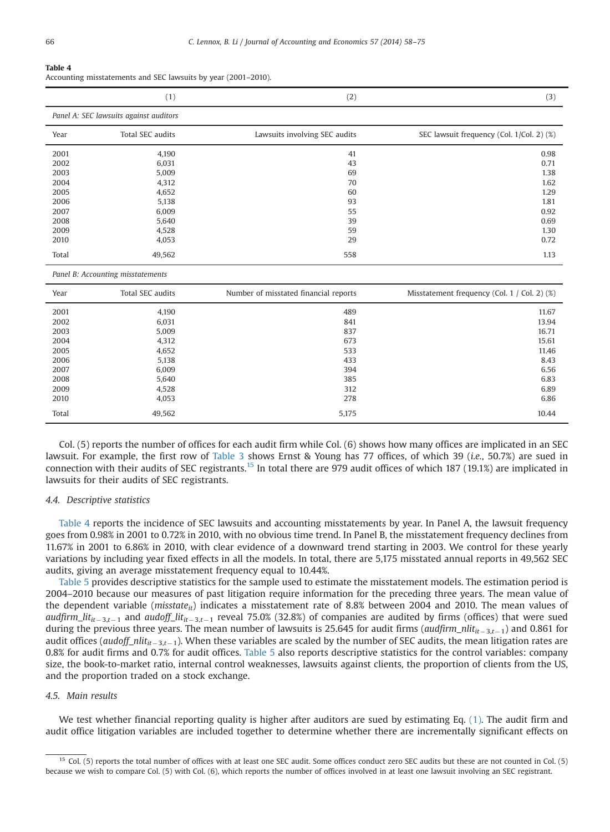Accounting misstatements and SEC lawsuits by year (2001–2010).

|       | (1)                                    | (2)                           | (3)                                       |
|-------|----------------------------------------|-------------------------------|-------------------------------------------|
|       | Panel A: SEC lawsuits against auditors |                               |                                           |
| Year  | Total SEC audits                       | Lawsuits involving SEC audits | SEC lawsuit frequency (Col. 1/Col. 2) (%) |
| 2001  | 4,190                                  | 41                            | 0.98                                      |
| 2002  | 6,031                                  | 43                            | 0.71                                      |
| 2003  | 5,009                                  | 69                            | 1.38                                      |
| 2004  | 4,312                                  | 70                            | 1.62                                      |
| 2005  | 4,652                                  | 60                            | 1.29                                      |
| 2006  | 5,138                                  | 93                            | 1.81                                      |
| 2007  | 6,009                                  | 55                            | 0.92                                      |
| 2008  | 5,640                                  | 39                            | 0.69                                      |
| 2009  | 4,528                                  | 59                            | 1.30                                      |
| 2010  | 4,053                                  | 29                            | 0.72                                      |
| Total | 49,562                                 | 558                           | 1.13                                      |

#### Panel B: Accounting misstatements

| Year  | Total SEC audits | Number of misstated financial reports | Misstatement frequency (Col. $1 /$ Col. $2)$ (%) |
|-------|------------------|---------------------------------------|--------------------------------------------------|
| 2001  | 4,190            | 489                                   | 11.67                                            |
| 2002  | 6,031            | 841                                   | 13.94                                            |
| 2003  | 5,009            | 837                                   | 16.71                                            |
| 2004  | 4,312            | 673                                   | 15.61                                            |
| 2005  | 4,652            | 533                                   | 11.46                                            |
| 2006  | 5,138            | 433                                   | 8.43                                             |
| 2007  | 6,009            | 394                                   | 6.56                                             |
| 2008  | 5,640            | 385                                   | 6.83                                             |
| 2009  | 4,528            | 312                                   | 6.89                                             |
| 2010  | 4,053            | 278                                   | 6.86                                             |
| Total | 49,562           | 5,175                                 | 10.44                                            |

Col. (5) reports the number of offices for each audit firm while Col. (6) shows how many offices are implicated in an SEC lawsuit. For example, the first row of [Table 3](#page-7-0) shows Ernst & Young has 77 offices, of which 39 (i.e., 50.7%) are sued in connection with their audits of SEC registrants.<sup>15</sup> In total there are 979 audit offices of which 187 (19.1%) are implicated in lawsuits for their audits of SEC registrants.

#### 4.4. Descriptive statistics

Table 4 reports the incidence of SEC lawsuits and accounting misstatements by year. In Panel A, the lawsuit frequency goes from 0.98% in 2001 to 0.72% in 2010, with no obvious time trend. In Panel B, the misstatement frequency declines from 11.67% in 2001 to 6.86% in 2010, with clear evidence of a downward trend starting in 2003. We control for these yearly variations by including year fixed effects in all the models. In total, there are 5,175 misstated annual reports in 49,562 SEC audits, giving an average misstatement frequency equal to 10.44%.

[Table 5](#page-9-0) provides descriptive statistics for the sample used to estimate the misstatement models. The estimation period is 2004–2010 because our measures of past litigation require information for the preceding three years. The mean value of the dependent variable (misstate<sub>it</sub>) indicates a misstatement rate of 8.8% between 2004 and 2010. The mean values of  $a$ udfirm\_lit<sub>it-3,t-1</sub> and  $a$ udoff\_lit<sub>it-3,t-1</sub> reveal 75.0% (32.8%) of companies are audited by firms (offices) that were sued during the previous three years. The mean number of lawsuits is 25.645 for audit firms (*audfirm\_nlit<sub>it-3,t-1</sub>*) and 0.861 for audit offices (audoff\_nlit<sub>it-3,t-1</sub>). When these variables are scaled by the number of SEC audits, the mean litigation rates are 0.8% for audit firms and 0.7% for audit offices. [Table 5](#page-9-0) also reports descriptive statistics for the control variables: company size, the book-to-market ratio, internal control weaknesses, lawsuits against clients, the proportion of clients from the US, and the proportion traded on a stock exchange.

#### 4.5. Main results

We test whether financial reporting quality is higher after auditors are sued by estimating Eq. [\(1\).](#page-4-0) The audit firm and audit office litigation variables are included together to determine whether there are incrementally significant effects on

<sup>&</sup>lt;sup>15</sup> Col. (5) reports the total number of offices with at least one SEC audit. Some offices conduct zero SEC audits but these are not counted in Col. (5) because we wish to compare Col. (5) with Col. (6), which reports the number of offices involved in at least one lawsuit involving an SEC registrant.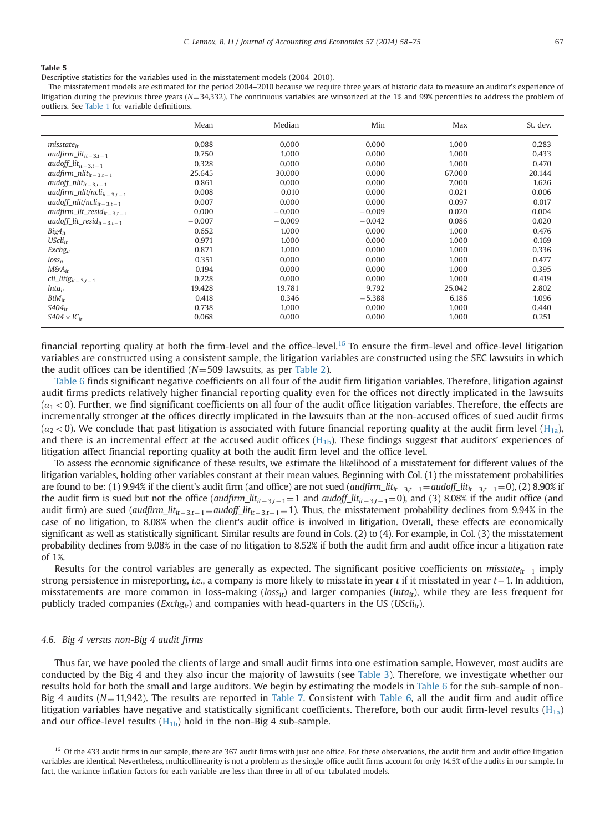<span id="page-9-0"></span>Descriptive statistics for the variables used in the misstatement models (2004–2010).

The misstatement models are estimated for the period 2004–2010 because we require three years of historic data to measure an auditor's experience of litigation during the previous three years ( $N=34.332$ ). The continuous variables are winsorized at the 1% and 99% percentiles to address the problem of outliers. See [Table 1](#page-5-0) for variable definitions.

|                                       | Mean     | Median   | Min      | Max    | St. dev. |
|---------------------------------------|----------|----------|----------|--------|----------|
| $misstate_{it}$                       | 0.088    | 0.000    | 0.000    | 1.000  | 0.283    |
| audfirm_lit $_{it-3,t-1}$             | 0.750    | 1.000    | 0.000    | 1.000  | 0.433    |
| audoff_lit $_{it-3,t-1}$              | 0.328    | 0.000    | 0.000    | 1.000  | 0.470    |
| audfirm_nlit $_{it-3,t-1}$            | 25.645   | 30.000   | 0.000    | 67.000 | 20.144   |
| audoff_nlit <sub>it</sub> _3t_1       | 0.861    | 0.000    | 0.000    | 7.000  | 1.626    |
| audfirm_nlit/ncli <sub>it-3.t-1</sub> | 0.008    | 0.010    | 0.000    | 0.021  | 0.006    |
| audoff_nlit/ncli <sub>it-3,t-1</sub>  | 0.007    | 0.000    | 0.000    | 0.097  | 0.017    |
| audfirm_lit_resid <sub>it-3.t-1</sub> | 0.000    | $-0.000$ | $-0.009$ | 0.020  | 0.004    |
| audoff_lit_resid <sub>it-3.t-1</sub>  | $-0.007$ | $-0.009$ | $-0.042$ | 0.086  | 0.020    |
| $Big4_{it}$                           | 0.652    | 1.000    | 0.000    | 1.000  | 0.476    |
| UScli <sub>ir</sub>                   | 0.971    | 1.000    | 0.000    | 1.000  | 0.169    |
| $Exchg_{it}$                          | 0.871    | 1.000    | 0.000    | 1.000  | 0.336    |
| $loss_{it}$                           | 0.351    | 0.000    | 0.000    | 1.000  | 0.477    |
| $M\mathcal{S}A_{it}$                  | 0.194    | 0.000    | 0.000    | 1.000  | 0.395    |
| $\text{cli\_litig}_{it-3,t-1}$        | 0.228    | 0.000    | 0.000    | 1.000  | 0.419    |
| $ln ta_{it}$                          | 19.428   | 19.781   | 9.792    | 25.042 | 2.802    |
| $BtM_{it}$                            | 0.418    | 0.346    | $-5.388$ | 6.186  | 1.096    |
| $S404_{it}$                           | 0.738    | 1.000    | 0.000    | 1.000  | 0.440    |
| $S404 \times$ IC <sub>it</sub>        | 0.068    | 0.000    | 0.000    | 1.000  | 0.251    |

financial reporting quality at both the firm-level and the office-level.<sup>16</sup> To ensure the firm-level and office-level litigation variables are constructed using a consistent sample, the litigation variables are constructed using the SEC lawsuits in which the audit offices can be identified  $(N=509$  lawsuits, as per [Table 2](#page-6-0)).

[Table 6](#page-10-0) finds significant negative coefficients on all four of the audit firm litigation variables. Therefore, litigation against audit firms predicts relatively higher financial reporting quality even for the offices not directly implicated in the lawsuits  $(\alpha_1$  < 0). Further, we find significant coefficients on all four of the audit office litigation variables. Therefore, the effects are incrementally stronger at the offices directly implicated in the lawsuits than at the non-accused offices of sued audit firms  $(\alpha_2$  < 0). We conclude that past litigation is associated with future financial reporting quality at the audit firm level (H<sub>1a</sub>), and there is an incremental effect at the accused audit offices  $(H_{1b})$ . These findings suggest that auditors' experiences of litigation affect financial reporting quality at both the audit firm level and the office level.

To assess the economic significance of these results, we estimate the likelihood of a misstatement for different values of the litigation variables, holding other variables constant at their mean values. Beginning with Col. (1) the misstatement probabilities are found to be: (1) 9.94% if the client's audit firm (and office) are not sued (*audfirm\_lit<sub>it-3,t-1</sub>=audoff\_lit<sub>it-3,t-1</sub>=0*), (2) 8.90% if the audit firm is sued but not the office (audfirm\_lit<sub>it-3,t-1</sub>=1 and audoff\_lit<sub>it-3,t-1</sub>=0), and (3) 8.08% if the audit office (and audit firm) are sued (audfirm\_lit<sub>it-3,t-1</sub>=audoff\_lit<sub>it-3,t-1</sub>=1). Thus, the misstatement probability declines from 9.94% in the case of no litigation, to 8.08% when the client's audit office is involved in litigation. Overall, these effects are economically significant as well as statistically significant. Similar results are found in Cols. (2) to (4). For example, in Col. (3) the misstatement probability declines from 9.08% in the case of no litigation to 8.52% if both the audit firm and audit office incur a litigation rate of 1%.

Results for the control variables are generally as expected. The significant positive coefficients on *misstate*<sub>it-1</sub> imply strong persistence in misreporting, *i.e.*, a company is more likely to misstate in year t if it misstated in year  $t-1$ . In addition, misstatements are more common in loss-making (loss<sub>it</sub>) and larger companies (lnta<sub>it</sub>), while they are less frequent for publicly traded companies ( $Exchg_{it}$ ) and companies with head-quarters in the US (UScli<sub>it</sub>).

#### 4.6. Big 4 versus non-Big 4 audit firms

Thus far, we have pooled the clients of large and small audit firms into one estimation sample. However, most audits are conducted by the Big 4 and they also incur the majority of lawsuits (see [Table 3\)](#page-7-0). Therefore, we investigate whether our results hold for both the small and large auditors. We begin by estimating the models in [Table 6](#page-10-0) for the sub-sample of non-Big 4 audits ( $N=11,942$ ). The results are reported in [Table 7.](#page-11-0) Consistent with [Table 6](#page-10-0), all the audit firm and audit office litigation variables have negative and statistically significant coefficients. Therefore, both our audit firm-level results  $(H_{1a})$ and our office-level results  $(H_{1b})$  hold in the non-Big 4 sub-sample.

<sup>&</sup>lt;sup>16</sup> Of the 433 audit firms in our sample, there are 367 audit firms with just one office. For these observations, the audit firm and audit office litigation variables are identical. Nevertheless, multicollinearity is not a problem as the single-office audit firms account for only 14.5% of the audits in our sample. In fact, the variance-inflation-factors for each variable are less than three in all of our tabulated models.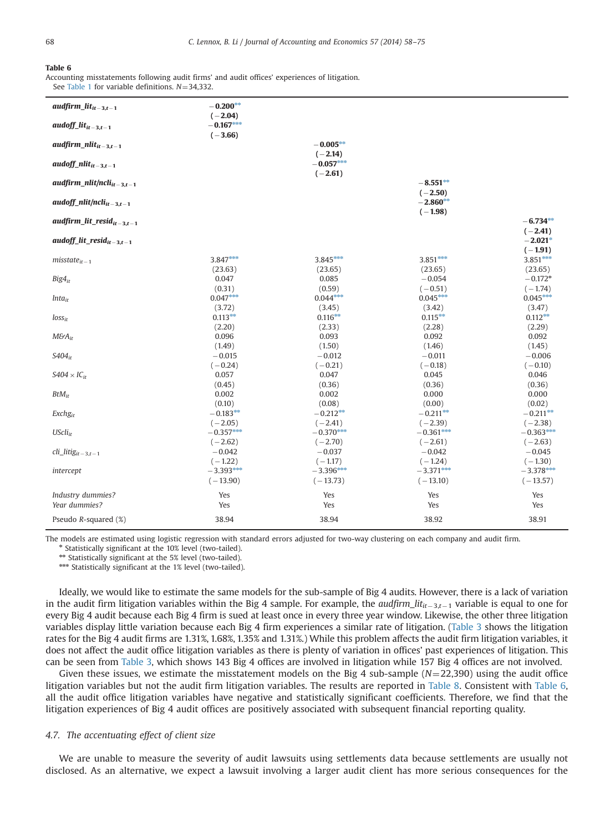<span id="page-10-0"></span>Accounting misstatements following audit firms' and audit offices' experiences of litigation. See [Table 1](#page-5-0) for variable definitions.  $N = 34.332$ .

| $audfirm\_lit_{it-3,t-1}$             | $-0.200**$<br>$(-2.04)$  |                          |                          |                         |
|---------------------------------------|--------------------------|--------------------------|--------------------------|-------------------------|
| audoff_lit $_{it-3,t-1}$              | $-0.167***$<br>$(-3.66)$ |                          |                          |                         |
| $audfirm\_nlit_{it-3,t-1}$            |                          | $-0.005***$<br>$(-2.14)$ |                          |                         |
| audoff_nlit $_{it-3,t-1}$             |                          | $-0.057***$<br>$(-2.61)$ |                          |                         |
| audfirm_nlit/ncli <sub>it-3.t-1</sub> |                          |                          | $-8.551***$<br>$(-2.50)$ |                         |
| audoff_nlit/ncli <sub>it-3.t-1</sub>  |                          |                          | $-2.860**$<br>$(-1.98)$  |                         |
| $audfirm\_lit\_resid_{it-3,t-1}$      |                          |                          |                          | $-6.734**$<br>$(-2.41)$ |
| audoff_lit_resid $_{it-3,t-1}$        |                          |                          |                          | $-2.021*$<br>$(-1.91)$  |
| $misstate_{it-1}$                     | $3.847***$               | $3.845***$               | $3.851***$               | 3.851***                |
|                                       | (23.63)                  | (23.65)                  | (23.65)                  | (23.65)                 |
| $Big4_{it}$                           | 0.047                    | 0.085                    | $-0.054$                 | $-0.172*$               |
|                                       | (0.31)                   | (0.59)                   | $(-0.51)$                | $(-1.74)$               |
| $ln ta_{it}$                          | $0.047***$               | $0.044***$               | $0.045***$               | $0.045***$              |
|                                       | (3.72)                   | (3.45)                   | (3.42)                   | (3.47)                  |
| $loss_{it}$                           | $0.113***$               | $0.116***$               | $0.115***$               | $0.112***$              |
|                                       | (2.20)                   | (2.33)                   | (2.28)                   | (2.29)                  |
| $M\mathcal{S}A_{it}$                  | 0.096                    | 0.093                    | 0.092                    | 0.092                   |
|                                       | (1.49)                   | (1.50)                   | (1.46)                   | (1.45)                  |
| $S404_{it}$                           | $-0.015$                 | $-0.012$                 | $-0.011$                 | $-0.006$                |
|                                       | $(-0.24)$                | $(-0.21)$                | $(-0.18)$                | $(-0.10)$               |
| $S404 \times$ IC <sub>it</sub>        | 0.057                    | 0.047                    | 0.045                    | 0.046                   |
|                                       | (0.45)                   | (0.36)                   | (0.36)                   | (0.36)                  |
| $BtM_{it}$                            | 0.002                    | 0.002                    | 0.000                    | 0.000                   |
|                                       | (0.10)                   | (0.08)                   | (0.00)                   | (0.02)                  |
| $Exchg_{it}$                          | $-0.183**$               | $-0.212**$               | $-0.211**$               | $-0.211***$             |
|                                       | $(-2.05)$                | $(-2.41)$                | $(-2.39)$                | $(-2.38)$               |
| <b>UScli</b> t                        | $-0.357***$              | $-0.370***$              | $-0.361***$              | $-0.363***$             |
|                                       | $(-2.62)$                | $(-2.70)$                | $(-2.61)$                | $(-2.63)$               |
| $cli\_litig_{it-3,t-1}$               | $-0.042$                 | $-0.037$                 | $-0.042$                 | $-0.045$                |
|                                       | $(-1.22)$                | $(-1.17)$                | $(-1.24)$                | $(-1.30)$               |
| intercept                             | $-3.393***$              | $-3.396***$              | $-3.371***$              | $-3.378***$             |
|                                       | $(-13.90)$               | $(-13.73)$               | $(-13.10)$               | $(-13.57)$              |
| Industry dummies?                     | Yes                      | Yes                      | Yes                      | Yes                     |
| Year dummies?                         | Yes                      | Yes                      | Yes                      | Yes                     |
| Pseudo $R$ -squared $(\%)$            | 38.94                    | 38.94                    | 38.92                    | 38.91                   |

The models are estimated using logistic regression with standard errors adjusted for two-way clustering on each company and audit firm. \* Statistically significant at the 10% level (two-tailed).

\*\* Statistically significant at the 5% level (two-tailed).

\*\*\* Statistically significant at the 1% level (two-tailed).

Ideally, we would like to estimate the same models for the sub-sample of Big 4 audits. However, there is a lack of variation in the audit firm litigation variables within the Big 4 sample. For example, the *audfirm*  $lit_{it-3,t-1}$  variable is equal to one for every Big 4 audit because each Big 4 firm is sued at least once in every three year window. Likewise, the other three litigation variables display little variation because each Big 4 firm experiences a similar rate of litigation. [\(Table 3](#page-7-0) shows the litigation rates for the Big 4 audit firms are 1.31%, 1.68%, 1.35% and 1.31%.) While this problem affects the audit firm litigation variables, it does not affect the audit office litigation variables as there is plenty of variation in offices' past experiences of litigation. This can be seen from [Table 3](#page-7-0), which shows 143 Big 4 offices are involved in litigation while 157 Big 4 offices are not involved.

Given these issues, we estimate the misstatement models on the Big 4 sub-sample ( $N=22,390$ ) using the audit office litigation variables but not the audit firm litigation variables. The results are reported in [Table 8](#page-11-0). Consistent with Table 6, all the audit office litigation variables have negative and statistically significant coefficients. Therefore, we find that the litigation experiences of Big 4 audit offices are positively associated with subsequent financial reporting quality.

## 4.7. The accentuating effect of client size

We are unable to measure the severity of audit lawsuits using settlements data because settlements are usually not disclosed. As an alternative, we expect a lawsuit involving a larger audit client has more serious consequences for the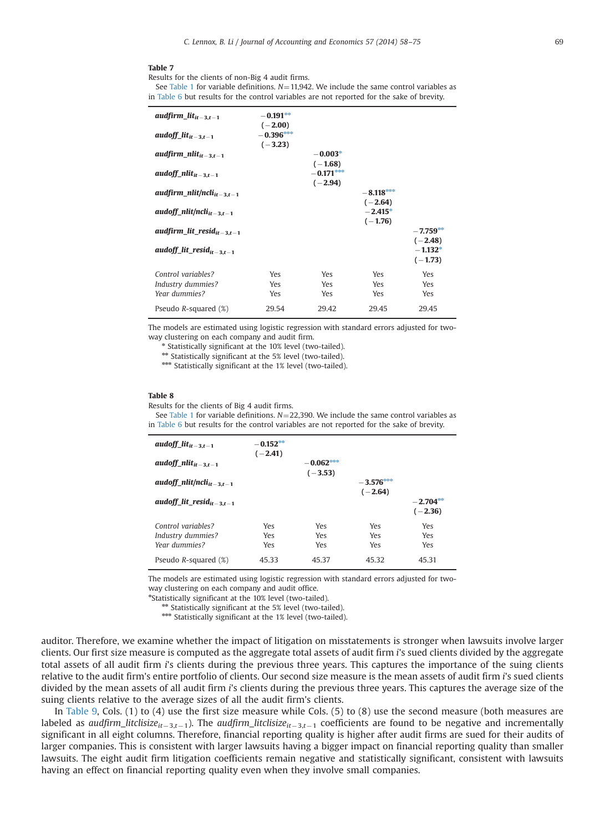<span id="page-11-0"></span>Results for the clients of non-Big 4 audit firms.

See [Table 1](#page-5-0) for variable definitions.  $N=11,942$ . We include the same control variables as in [Table 6](#page-10-0) but results for the control variables are not reported for the sake of brevity.

| audfirm_lit $_{it-3,t-1}$<br>audoff_lit $_{it-3,t-1}$<br>audfirm_nlit <sub>it-3.t-1</sub><br>audoff_nlit <sub>it – 3</sub> $t-1$<br>audfirm_nlit/ncli <sub>it-3.t-1</sub><br>audoff_nlit/ncli <sub>it-3.t-1</sub><br>audfirm_lit_resid <sub>it-3t-1</sub><br>audoff_lit_resid <sub>it-3.t-1</sub> | $-0.191***$<br>$(-2.00)$<br>$-0.396***$<br>$(-3.23)$ | $-0.003*$<br>$(-1.68)$<br>$-0.171***$<br>$(-2.94)$ | $-8.118***$<br>$(-2.64)$<br>$-2.415*$<br>$(-1.76)$ | $-7.759***$<br>$(-2.48)$<br>$-1.132*$<br>$(-1.73)$ |
|---------------------------------------------------------------------------------------------------------------------------------------------------------------------------------------------------------------------------------------------------------------------------------------------------|------------------------------------------------------|----------------------------------------------------|----------------------------------------------------|----------------------------------------------------|
| Control variables?<br>Industry dummies?<br>Year dummies?                                                                                                                                                                                                                                          | Yes<br>Yes<br>Yes                                    | <b>Yes</b><br>Yes<br>Yes                           | Yes<br>Yes<br>Yes                                  | Yes<br>Yes<br>Yes                                  |
| Pseudo $R$ -squared $(\%)$                                                                                                                                                                                                                                                                        | 29.54                                                | 29.42                                              | 29.45                                              | 29.45                                              |

The models are estimated using logistic regression with standard errors adjusted for twoway clustering on each company and audit firm.

\* Statistically significant at the 10% level (two-tailed).

\*\* Statistically significant at the 5% level (two-tailed).

\*\*\* Statistically significant at the 1% level (two-tailed).

#### Table 8

Results for the clients of Big 4 audit firms.

See [Table 1](#page-5-0) for variable definitions.  $N=22,390$ . We include the same control variables as in [Table 6](#page-10-0) but results for the control variables are not reported for the sake of brevity.

| audoff_lit $_{it-3,t-1}$                 | $-0.152***$<br>$(-2.41)$ |                          |                          |                          |
|------------------------------------------|--------------------------|--------------------------|--------------------------|--------------------------|
| audoff_nlit <sub>it-3.t-1</sub>          |                          | $-0.062***$<br>$(-3.53)$ |                          |                          |
| audoff_nlit/ncli <sub>it-3.t-1</sub>     |                          |                          | $-3.576***$<br>$(-2.64)$ |                          |
| audoff lit resid <sub>it - 3</sub> $t-1$ |                          |                          |                          | $-2.704***$<br>$(-2.36)$ |
| Control variables?                       | Yes                      | Yes                      | Yes                      | Yes                      |
| Industry dummies?                        | <b>Yes</b>               | Yes                      | Yes                      | Yes                      |
| Year dummies?                            | Yes                      | Yes                      | Yes                      | Yes                      |
| Pseudo $R$ -squared $(\%)$               | 45.33                    | 45.37                    | 45.32                    | 45.31                    |

The models are estimated using logistic regression with standard errors adjusted for twoway clustering on each company and audit office.

\*Statistically significant at the 10% level (two-tailed).

\*\* Statistically significant at the 5% level (two-tailed).

\*\*\* Statistically significant at the 1% level (two-tailed).

auditor. Therefore, we examine whether the impact of litigation on misstatements is stronger when lawsuits involve larger clients. Our first size measure is computed as the aggregate total assets of audit firm i's sued clients divided by the aggregate total assets of all audit firm i's clients during the previous three years. This captures the importance of the suing clients relative to the audit firm's entire portfolio of clients. Our second size measure is the mean assets of audit firm i's sued clients divided by the mean assets of all audit firm i's clients during the previous three years. This captures the average size of the suing clients relative to the average sizes of all the audit firm's clients.

In [Table 9,](#page-12-0) Cols. (1) to (4) use the first size measure while Cols. (5) to (8) use the second measure (both measures are labeled as *audfirm\_litclisize*<sub>it-3,t-1</sub>). The *audfirm\_litclisize*<sub>it-3,t-1</sub> coefficients are found to be negative and incrementally significant in all eight columns. Therefore, financial reporting quality is higher after audit firms are sued for their audits of larger companies. This is consistent with larger lawsuits having a bigger impact on financial reporting quality than smaller lawsuits. The eight audit firm litigation coefficients remain negative and statistically significant, consistent with lawsuits having an effect on financial reporting quality even when they involve small companies.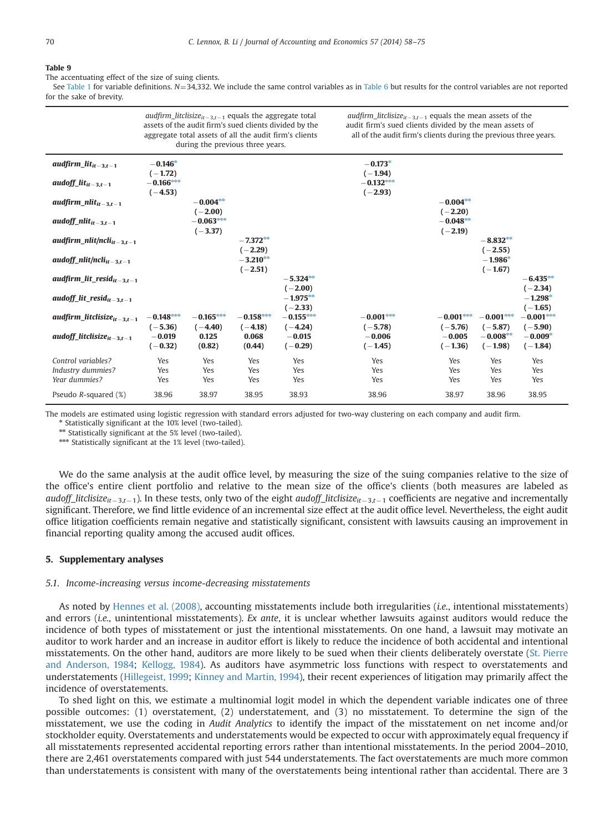<span id="page-12-0"></span>The accentuating effect of the size of suing clients.

See [Table 1](#page-5-0) for variable definitions.  $N=34,332$ . We include the same control variables as in [Table 6](#page-10-0) but results for the control variables are not reported for the sake of brevity.

|                                                                                   | audfirm_litclisize <sub>it-3,t-1</sub> equals the aggregate total<br>assets of the audit firm's sued clients divided by the<br>aggregate total assets of all the audit firm's clients<br>during the previous three years. |                                        |                                        |                                        | audfirm litclisize <sub>it-3t-1</sub> equals the mean assets of the<br>audit firm's sued clients divided by the mean assets of<br>all of the audit firm's clients during the previous three years. |                                       |                                      |                                       |
|-----------------------------------------------------------------------------------|---------------------------------------------------------------------------------------------------------------------------------------------------------------------------------------------------------------------------|----------------------------------------|----------------------------------------|----------------------------------------|----------------------------------------------------------------------------------------------------------------------------------------------------------------------------------------------------|---------------------------------------|--------------------------------------|---------------------------------------|
| $\it audfirm\_lit_{it-3,t-1}$<br>audoff_lit $_{it-3,t-1}$                         | $-0.146*$<br>$(-1.72)$<br>$-0.166***$<br>$(-4.53)$                                                                                                                                                                        |                                        |                                        |                                        | $-0.173*$<br>$(-1.94)$<br>$-0.132***$<br>$(-2.93)$                                                                                                                                                 |                                       |                                      |                                       |
| audfirm_nlit $_{it-3,t-1}$<br>audoff_nlit <sub>it-3,t-1</sub>                     |                                                                                                                                                                                                                           | $-0.004**$<br>$(-2.00)$<br>$-0.063***$ |                                        |                                        |                                                                                                                                                                                                    | $-0.004**$<br>$(-2.20)$<br>$-0.048**$ |                                      |                                       |
| audfirm_nlit/ncli <sub>it-3,t-1</sub>                                             |                                                                                                                                                                                                                           | $(-3.37)$                              | $-7.372**$<br>$(-2.29)$<br>$-3.210***$ |                                        |                                                                                                                                                                                                    | $(-2.19)$                             | $-8.832**$<br>$(-2.55)$<br>$-1.986*$ |                                       |
| audoff_nlit/ncli <sub>it – 3,t – 1</sub><br>audfirm_lit_resid <sub>it-3.t-1</sub> |                                                                                                                                                                                                                           |                                        | $(-2.51)$                              | $-5.324**$<br>$(-2.00)$                |                                                                                                                                                                                                    |                                       | $(-1.67)$                            | $-6.435***$<br>$(-2.34)$              |
| audoff_lit_resid <sub>it-3t-1</sub><br>audfirm_litclisize $_{it-3,t-1}$           | $-0.148***$                                                                                                                                                                                                               | $-0.165***$                            | $-0.158***$                            | $-1.975**$<br>$(-2.33)$<br>$-0.155***$ | $-0.001***$                                                                                                                                                                                        | $-0.001***$                           | $-0.001***$                          | $-1.298*$<br>$(-1.65)$<br>$-0.001***$ |
| audoff_litclisize $_{it-3,t-1}$                                                   | $(-5.36)$<br>$-0.019$<br>$(-0.32)$                                                                                                                                                                                        | $(-4.40)$<br>0.125<br>(0.82)           | $(-4.18)$<br>0.068<br>(0.44)           | $(-4.24)$<br>$-0.015$<br>$(-0.29)$     | $(-5.78)$<br>$-0.006$<br>$(-1.45)$                                                                                                                                                                 | $(-5.76)$<br>$-0.005$<br>$(-1.36)$    | $(-5.87)$<br>$-0.008**$<br>$(-1.98)$ | $(-5.90)$<br>$-0.009*$<br>$(-1.84)$   |
| Control variables?<br>Industry dummies?<br>Year dummies?                          | Yes<br>Yes<br>Yes                                                                                                                                                                                                         | Yes<br>Yes<br>Yes                      | Yes<br>Yes<br>Yes                      | Yes<br>Yes<br>Yes                      | Yes<br>Yes<br>Yes                                                                                                                                                                                  | Yes<br>Yes<br>Yes                     | Yes<br>Yes<br>Yes                    | Yes<br>Yes<br>Yes                     |
| Pseudo $R$ -squared $(\%)$                                                        | 38.96                                                                                                                                                                                                                     | 38.97                                  | 38.95                                  | 38.93                                  | 38.96                                                                                                                                                                                              | 38.97                                 | 38.96                                | 38.95                                 |

The models are estimated using logistic regression with standard errors adjusted for two-way clustering on each company and audit firm. \* Statistically significant at the 10% level (two-tailed).

\*\* Statistically significant at the 5% level (two-tailed).

\*\*\* Statistically significant at the 1% level (two-tailed).

We do the same analysis at the audit office level, by measuring the size of the suing companies relative to the size of the office's entire client portfolio and relative to the mean size of the office's clients (both measures are labeled as audoff litclisize<sub>it-3,t-1</sub>). In these tests, only two of the eight audoff litclisize<sub>it-3,t-1</sub> coefficients are negative and incrementally significant. Therefore, we find little evidence of an incremental size effect at the audit office level. Nevertheless, the eight audit office litigation coefficients remain negative and statistically significant, consistent with lawsuits causing an improvement in financial reporting quality among the accused audit offices.

#### 5. Supplementary analyses

## 5.1. Income-increasing versus income-decreasing misstatements

As noted by [Hennes et al. \(2008\),](#page-16-0) accounting misstatements include both irregularities (i.e., intentional misstatements) and errors (*i.e.*, unintentional misstatements). Ex ante, it is unclear whether lawsuits against auditors would reduce the incidence of both types of misstatement or just the intentional misstatements. On one hand, a lawsuit may motivate an auditor to work harder and an increase in auditor effort is likely to reduce the incidence of both accidental and intentional misstatements. On the other hand, auditors are more likely to be sued when their clients deliberately overstate ([St. Pierre](#page-17-0) [and Anderson, 1984;](#page-17-0) [Kellogg, 1984\)](#page-16-0). As auditors have asymmetric loss functions with respect to overstatements and understatements ([Hillegeist, 1999](#page-16-0); [Kinney and Martin, 1994](#page-16-0)), their recent experiences of litigation may primarily affect the incidence of overstatements.

To shed light on this, we estimate a multinomial logit model in which the dependent variable indicates one of three possible outcomes: (1) overstatement, (2) understatement, and (3) no misstatement. To determine the sign of the misstatement, we use the coding in Audit Analytics to identify the impact of the misstatement on net income and/or stockholder equity. Overstatements and understatements would be expected to occur with approximately equal frequency if all misstatements represented accidental reporting errors rather than intentional misstatements. In the period 2004–2010, there are 2,461 overstatements compared with just 544 understatements. The fact overstatements are much more common than understatements is consistent with many of the overstatements being intentional rather than accidental. There are 3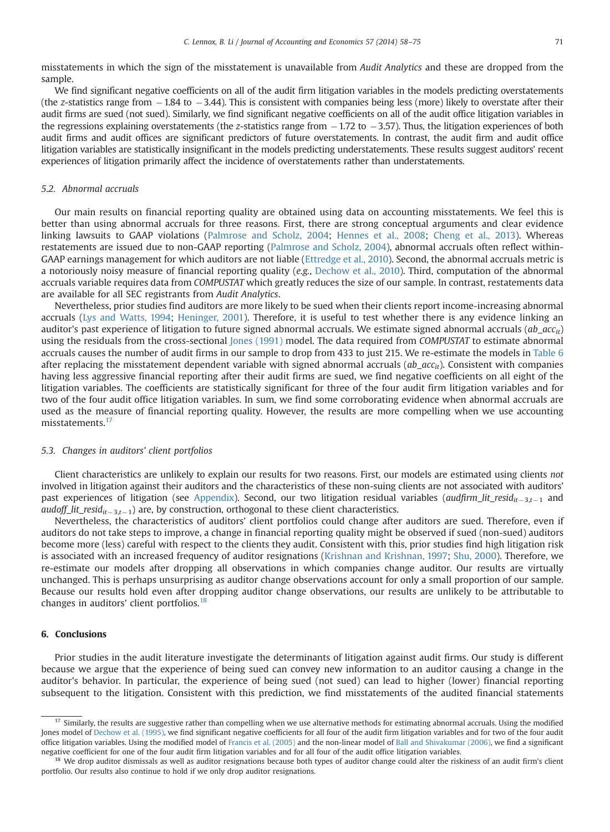<span id="page-13-0"></span>misstatements in which the sign of the misstatement is unavailable from Audit Analytics and these are dropped from the sample.

We find significant negative coefficients on all of the audit firm litigation variables in the models predicting overstatements (the z-statistics range from -1.84 to -3.44). This is consistent with companies being less (more) likely to overstate after their audit firms are sued (not sued). Similarly, we find significant negative coefficients on all of the audit office litigation variables in the regressions explaining overstatements (the z-statistics range from  $-1.72$  to  $-3.57$ ). Thus, the litigation experiences of both audit firms and audit offices are significant predictors of future overstatements. In contrast, the audit firm and audit office litigation variables are statistically insignificant in the models predicting understatements. These results suggest auditors' recent experiences of litigation primarily affect the incidence of overstatements rather than understatements.

## 5.2. Abnormal accruals

Our main results on financial reporting quality are obtained using data on accounting misstatements. We feel this is better than using abnormal accruals for three reasons. First, there are strong conceptual arguments and clear evidence linking lawsuits to GAAP violations [\(Palmrose and Scholz, 2004](#page-16-0); [Hennes et al., 2008;](#page-16-0) [Cheng et al., 2013](#page-16-0)). Whereas restatements are issued due to non-GAAP reporting ([Palmrose and Scholz, 2004\)](#page-16-0), abnormal accruals often reflect within-GAAP earnings management for which auditors are not liable [\(Ettredge et al., 2010\)](#page-16-0). Second, the abnormal accruals metric is a notoriously noisy measure of financial reporting quality (e.g., [Dechow et al., 2010\)](#page-16-0). Third, computation of the abnormal accruals variable requires data from COMPUSTAT which greatly reduces the size of our sample. In contrast, restatements data are available for all SEC registrants from Audit Analytics.

Nevertheless, prior studies find auditors are more likely to be sued when their clients report income-increasing abnormal accruals ([Lys and Watts, 1994](#page-16-0); [Heninger, 2001\)](#page-16-0). Therefore, it is useful to test whether there is any evidence linking an auditor's past experience of litigation to future signed abnormal accruals. We estimate signed abnormal accruals  $(ab_1acc_{it})$ using the residuals from the cross-sectional [Jones \(1991\)](#page-16-0) model. The data required from COMPUSTAT to estimate abnormal accruals causes the number of audit firms in our sample to drop from 433 to just 215. We re-estimate the models in [Table 6](#page-10-0) after replacing the misstatement dependent variable with signed abnormal accruals  $(ab_acc_{it})$ . Consistent with companies having less aggressive financial reporting after their audit firms are sued, we find negative coefficients on all eight of the litigation variables. The coefficients are statistically significant for three of the four audit firm litigation variables and for two of the four audit office litigation variables. In sum, we find some corroborating evidence when abnormal accruals are used as the measure of financial reporting quality. However, the results are more compelling when we use accounting misstatements.<sup>17</sup>

### 5.3. Changes in auditors' client portfolios

Client characteristics are unlikely to explain our results for two reasons. First, our models are estimated using clients not involved in litigation against their auditors and the characteristics of these non-suing clients are not associated with auditors' past experiences of litigation (see [Appendix\)](#page-14-0). Second, our two litigation residual variables (audfirm\_lit\_resid<sub>it-3,t-1</sub> and  $audoff\_lit\_resid_{it-3,t-1}$  are, by construction, orthogonal to these client characteristics.

Nevertheless, the characteristics of auditors' client portfolios could change after auditors are sued. Therefore, even if auditors do not take steps to improve, a change in financial reporting quality might be observed if sued (non-sued) auditors become more (less) careful with respect to the clients they audit. Consistent with this, prior studies find high litigation risk is associated with an increased frequency of auditor resignations ([Krishnan and Krishnan, 1997](#page-16-0); [Shu, 2000](#page-17-0)). Therefore, we re-estimate our models after dropping all observations in which companies change auditor. Our results are virtually unchanged. This is perhaps unsurprising as auditor change observations account for only a small proportion of our sample. Because our results hold even after dropping auditor change observations, our results are unlikely to be attributable to changes in auditors' client portfolios.18

#### 6. Conclusions

Prior studies in the audit literature investigate the determinants of litigation against audit firms. Our study is different because we argue that the experience of being sued can convey new information to an auditor causing a change in the auditor's behavior. In particular, the experience of being sued (not sued) can lead to higher (lower) financial reporting subsequent to the litigation. Consistent with this prediction, we find misstatements of the audited financial statements

<sup>&</sup>lt;sup>17</sup> Similarly, the results are suggestive rather than compelling when we use alternative methods for estimating abnormal accruals. Using the modified Jones model of [Dechow et al. \(1995\)](#page-16-0), we find significant negative coefficients for all four of the audit firm litigation variables and for two of the four audit office litigation variables. Using the modified model of [Francis et al. \(2005\)](#page-16-0) and the non-linear model of [Ball and Shivakumar \(2006\)](#page-16-0), we find a significant negative coefficient for one of the four audit firm litigation variables and for all four of the audit office litigation variables.

<sup>&</sup>lt;sup>18</sup> We drop auditor dismissals as well as auditor resignations because both types of auditor change could alter the riskiness of an audit firm's client portfolio. Our results also continue to hold if we only drop auditor resignations.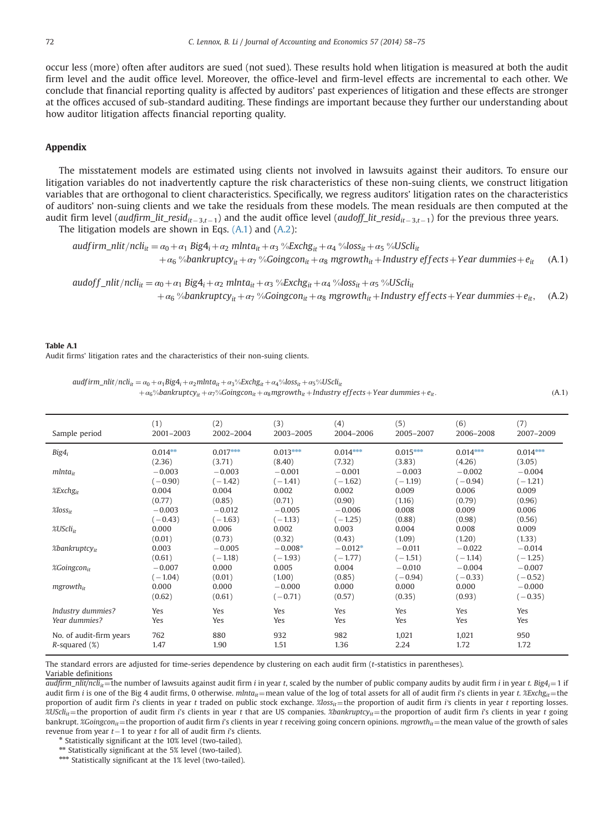<span id="page-14-0"></span>occur less (more) often after auditors are sued (not sued). These results hold when litigation is measured at both the audit firm level and the audit office level. Moreover, the office-level and firm-level effects are incremental to each other. We conclude that financial reporting quality is affected by auditors' past experiences of litigation and these effects are stronger at the offices accused of sub-standard auditing. These findings are important because they further our understanding about how auditor litigation affects financial reporting quality.

# Appendix

The misstatement models are estimated using clients not involved in lawsuits against their auditors. To ensure our litigation variables do not inadvertently capture the risk characteristics of these non-suing clients, we construct litigation variables that are orthogonal to client characteristics. Specifically, we regress auditors' litigation rates on the characteristics of auditors' non-suing clients and we take the residuals from these models. The mean residuals are then computed at the audit firm level (audfirm\_lit\_resid<sub>it-3,t-1</sub>) and the audit office level (audoff\_lit\_resid<sub>it-3,t-1</sub>) for the previous three years. The litigation models are shown in Eqs.  $(A.1)$  and  $(A.2)$  $(A.2)$ :

```
audf irm_nlit / ncli<sub>it</sub> = \alpha_0 + \alpha_1 Big4<sub>i</sub> + \alpha_2 mlnta<sub>it</sub> + \alpha_3 %Exchg<sub>it</sub> + \alpha_4 %loss<sub>it</sub> + \alpha_5 %UScli<sub>it</sub>
                          +\alpha_6 %bankruptcy<sub>it</sub> +\alpha_7 %Goingcon<sub>it</sub> +\alpha_8 mgrowth<sub>it</sub> + Industry effects + Year dummies +e_{it} (A.1)
```
audoff \_nlit/ncli<sub>it</sub> =  $\alpha_0 + \alpha_1$  Big $4_i + \alpha_2$  mlnta<sub>it</sub> +  $\alpha_3$  %Exchg<sub>it</sub> +  $\alpha_4$  %loss<sub>it</sub> +  $\alpha_5$  %UScli<sub>it</sub>  $+\alpha_6$  %bankruptcy<sub>it</sub> +  $\alpha_7$  %Goingcon<sub>it</sub> +  $\alpha_8$  mgrowth<sub>it</sub> + Industry effects + Year dummies +  $e_{it}$ , (A.2)

#### Table A.1

Audit firms' litigation rates and the characteristics of their non-suing clients.

### audf irm\_nlit / ncli<sub>it</sub> =  $\alpha_0 + \alpha_1 Big4_i + \alpha_2 mlnta_{it} + \alpha_3$ %Exchg<sub>it</sub> +  $\alpha_4$ %loss<sub>it</sub> +  $\alpha_5$ %UScli<sub>it</sub>  $+\alpha_6$ %bankruptcy<sub>it</sub> + $\alpha_7$ %Goingcon<sub>it</sub> + $\alpha_8$ mgrowth<sub>it</sub> + Industry effects + Year dummies +  $e_{it}$ . (A.1)

| Sample period                | (1)        | (2)        | (3)        | (4)        | (5)        | (6)        | (7)        |
|------------------------------|------------|------------|------------|------------|------------|------------|------------|
|                              | 2001-2003  | 2002-2004  | 2003-2005  | 2004-2006  | 2005-2007  | 2006-2008  | 2007-2009  |
| $Big4_i$                     | $0.014***$ | $0.017***$ | $0.013***$ | $0.014***$ | $0.015***$ | $0.014***$ | $0.014***$ |
|                              | (2.36)     | (3.71)     | (8.40)     | (7.32)     | (3.83)     | (4.26)     | (3.05)     |
| $mlnta_{it}$                 | $-0.003$   | $-0.003$   | $-0.001$   | $-0.001$   | $-0.003$   | $-0.002$   | $-0.004$   |
|                              | $(-0.90)$  | $(-1.42)$  | $(-1.41)$  | $(-1.62)$  | $(-1.19)$  | $(-0.94)$  | $(-1.21)$  |
| $\chi$ Exchg <sub>it</sub>   | 0.004      | 0.004      | 0.002      | 0.002      | 0.009      | 0.006      | 0.009      |
|                              | (0.77)     | (0.85)     | (0.71)     | (0.90)     | (1.16)     | (0.79)     | (0.96)     |
| $\chi$ loss <sub>it</sub>    | $-0.003$   | $-0.012$   | $-0.005$   | $-0.006$   | 0.008      | 0.009      | 0.006      |
|                              | $(-0.43)$  | $(-1.63)$  | $(-1.13)$  | $(-1.25)$  | (0.88)     | (0.98)     | (0.56)     |
| $\%$ UScli <sub>it</sub>     | 0.000      | 0.006      | 0.002      | 0.003      | 0.004      | 0.008      | 0.009      |
|                              | (0.01)     | (0.73)     | (0.32)     | (0.43)     | (1.09)     | (1.20)     | (1.33)     |
| $%$ bankruptcy <sub>it</sub> | 0.003      | $-0.005$   | $-0.008*$  | $-0.012*$  | $-0.011$   | $-0.022$   | $-0.014$   |
|                              | (0.61)     | $(-1.18)$  | $(-1.93)$  | $(-1.77)$  | $(-1.51)$  | $(-1.14)$  | $(-1.25)$  |
| $%Goingcon_{it}$             | $-0.007$   | 0.000      | 0.005      | 0.004      | $-0.010$   | $-0.004$   | $-0.007$   |
|                              | $(-1.04)$  | (0.01)     | (1.00)     | (0.85)     | $(-0.94)$  | $(-0.33)$  | $(-0.52)$  |
| $mgrowth_{it}$               | 0.000      | 0.000      | $-0.000$   | 0.000      | 0.000      | 0.000      | $-0.000$   |
|                              | (0.62)     | (0.61)     | $(-0.71)$  | (0.57)     | (0.35)     | (0.93)     | $(-0.35)$  |
| Industry dummies?            | Yes        | Yes        | Yes        | Yes        | Yes        | Yes        | Yes        |
| Year dummies?                | Yes        | Yes        | Yes        | Yes        | Yes        | Yes        | Yes        |
| No. of audit-firm years      | 762        | 880        | 932        | 982        | 1,021      | 1,021      | 950        |
| $R$ -squared $(\%)$          | 1.47       | 1.90       | 1.51       | 1.36       | 2.24       | 1.72       | 1.72       |

The standard errors are adjusted for time-series dependence by clustering on each audit firm (t-statistics in parentheses). Variable definitions

audfirm\_nlit/ncli<sub>it</sub>=the number of lawsuits against audit firm i in year t, scaled by the number of public company audits by audit firm i in year t. Big4<sub>i</sub>=1 if audit firm *i* is one of the Big 4 audit firms, 0 otherwise. mlnta<sub>it</sub>=mean value of the log of total assets for all of audit firm *i*'s clients in year t. *%Exchg<sub>it</sub>* = the proportion of audit firm i's clients in year t traded on public stock exchange.  $\%$ loss<sub>it</sub>=the proportion of audit firm i's clients in year t reporting losses. %UScli<sub>it</sub> = the proportion of audit firm i's clients in year t that are US companies. %bankruptcy<sub>it</sub> = the proportion of audit firm i's clients in year t going bankrupt. %Goingcon<sub>it</sub> = the proportion of audit firm i's clients in year t receiving going concern opinions. mgrowth<sub>it</sub> = the mean value of the growth of sales revenue from year  $t-1$  to year t for all of audit firm i's clients.

\* Statistically significant at the 10% level (two-tailed).

\*\* Statistically significant at the 5% level (two-tailed).

\*\*\* Statistically significant at the 1% level (two-tailed).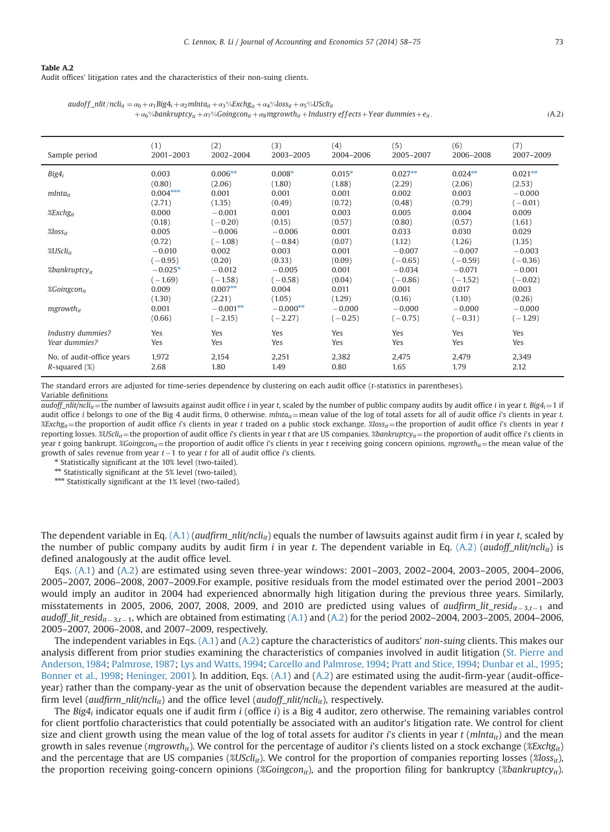#### <span id="page-15-0"></span>Table A.2

Audit offices' litigation rates and the characteristics of their non-suing clients.

audoff\_nlit/ncli<sub>it</sub> =  $\alpha_0 + \alpha_1 Big4_i + \alpha_2 mlnta_{it} + \alpha_3$ %Exchg<sub>it</sub> +  $\alpha_4$ %loss<sub>it</sub> +  $\alpha_5$ %UScli<sub>it</sub>  $+\alpha_6$ %bankruptcy<sub>it</sub>  $+\alpha_7$ %Goingcon<sub>it</sub>  $+\alpha_8$ mgrowth<sub>it</sub> + Industry effects + Year dummies +  $e_{it}$ . (A.2)

| Sample period                | (1)<br>2001-2003 | (2)<br>2002-2004 | (3)<br>2003-2005 | (4)<br>2004-2006 | (5)<br>2005-2007 | (6)<br>2006-2008 | (7)<br>2007-2009 |
|------------------------------|------------------|------------------|------------------|------------------|------------------|------------------|------------------|
| $Big4_i$                     | 0.003            | $0.006**$        | $0.008*$         | $0.015*$         | $0.027**$        | $0.024***$       | $0.021***$       |
|                              | (0.80)           | (2.06)           | (1.80)           | (1.88)           | (2.29)           | (2.06)           | (2.53)           |
| $mlnta_{it}$                 | $0.004***$       | 0.001            | 0.001            | 0.001            | 0.002            | 0.003            | $-0.000$         |
|                              | (2.71)           | (1.35)           | (0.49)           | (0.72)           | (0.48)           | (0.79)           | $(-0.01)$        |
| $%$ Exchg $_{it}$            | 0.000            | $-0.001$         | 0.001            | 0.003            | 0.005            | 0.004            | 0.009            |
|                              | (0.18)           | $(-0.20)$        | (0.15)           | (0.57)           | (0.80)           | (0.57)           | (1.61)           |
| $\chi$ loss $_{it}$          | 0.005            | $-0.006$         | $-0.006$         | 0.001            | 0.033            | 0.030            | 0.029            |
|                              | (0.72)           | $(-1.08)$        | $(-0.84)$        | (0.07)           | (1.12)           | (1.26)           | (1.35)           |
| %UScli <sub>it</sub>         | $-0.010$         | 0.002            | 0.003            | 0.001            | $-0.007$         | $-0.007$         | $-0.003$         |
|                              | $(-0.95)$        | (0.20)           | (0.33)           | (0.09)           | $(-0.65)$        | $(-0.59)$        | $(-0.36)$        |
| $%$ bankruptcy <sub>it</sub> | $-0.025*$        | $-0.012$         | $-0.005$         | 0.001            | $-0.034$         | $-0.071$         | $-0.001$         |
|                              | $(-1.69)$        | $(-1.58)$        | $(-0.58)$        | (0.04)           | $(-0.86)$        | $(-1.52)$        | $(-0.02)$        |
| $%Goingcon_{it}$             | 0.009            | $0.007**$        | 0.004            | 0.011            | 0.001            | 0.017            | 0.003            |
|                              | (1.30)           | (2.21)           | (1.05)           | (1.29)           | (0.16)           | (1.10)           | (0.26)           |
| $mgrowth_{it}$               | 0.001            | $-0.001**$       | $-0.000***$      | $-0.000$         | $-0.000$         | $-0.000$         | $-0.000$         |
|                              | (0.66)           | $(-2.15)$        | $(-2.27)$        | $(-0.25)$        | $(-0.75)$        | $(-0.31)$        | $(-1.29)$        |
| Industry dummies?            | Yes              | Yes              | Yes              | Yes              | Yes              | Yes              | Yes              |
| Year dummies?                | Yes              | Yes              | Yes              | Yes              | Yes              | Yes              | Yes              |
|                              |                  |                  |                  |                  |                  |                  |                  |
| No. of audit-office years    | 1,972            | 2,154            | 2,251            | 2,382            | 2,475            | 2,479            | 2,349            |
| $R$ -squared $(\%)$          | 2.68             | 1.80             | 1.49             | 0.80             | 1.65             | 1.79             | 2.12             |

The standard errors are adjusted for time-series dependence by clustering on each audit office (t-statistics in parentheses). Variable definitions

audoff\_nlit/ncli<sub>it</sub> = the number of lawsuits against audit office *i* in year t, scaled by the number of public company audits by audit office *i* in year t. Big4<sub>i</sub> = 1 if audit office i belongs to one of the Big 4 audit firms, 0 otherwise.  $mlnta_{it}$  = mean value of the log of total assets for all of audit office i's clients in year t.  $\mathcal{X}$ Exchg<sub>it</sub> = the proportion of audit office i's clients in year t traded on a public stock exchange.  $\mathcal{X}$ loss<sub>it</sub> = the proportion of audit office i's clients in year t reporting losses. %UScli<sub>it</sub> = the proportion of audit office i's clients in year t that are US companies. %bankruptcy<sub>it</sub> = the proportion of audit office i's clients in year t going bankrupt. %Goingcon<sub>it</sub>=the proportion of audit office i's clients in year t receiving going concern opinions. mgrowth<sub>it</sub>=the mean value of the growth of sales revenue from year  $t-1$  to year  $t$  for all of audit office i's clients.

\* Statistically significant at the 10% level (two-tailed).

\*\* Statistically significant at the 5% level (two-tailed).

\*\*\* Statistically significant at the 1% level (two-tailed).

The dependent variable in Eq.  $(A.1)$  (audfirm\_nlit/ncli<sub>it</sub>) equals the number of lawsuits against audit firm *i* in year *t*, scaled by the number of public company audits by audit firm i in year t. The dependent variable in Eq. (A.2) (audoff\_nlit/ncli<sub>it</sub>) is defined analogously at the audit office level.

Eqs. [\(A.1\)](#page-14-0) and (A.2) are estimated using seven three-year windows: 2001–2003, 2002–2004, 2003–2005, 2004–2006, 2005–2007, 2006–2008, 2007–2009.For example, positive residuals from the model estimated over the period 2001–2003 would imply an auditor in 2004 had experienced abnormally high litigation during the previous three years. Similarly, misstatements in 2005, 2006, 2007, 2008, 2009, and 2010 are predicted using values of *audfirm\_lit\_resid<sub>it-3,t-1</sub>* and  $\frac{1}{2}$ audoff\_lit\_resid<sub>it-3,t-1</sub>, which are obtained from estimating  $(A.1)$  $(A.1)$  and  $(A.2)$  for the period 2002-2004, 2003-2005, 2004-2006, 2005–2007, 2006–2008, and 2007–2009, respectively.

The independent variables in Eqs. [\(A.1\)](#page-14-0) and (A.2) capture the characteristics of auditors' non-suing clients. This makes our analysis different from prior studies examining the characteristics of companies involved in audit litigation [\(St. Pierre and](#page-17-0) [Anderson, 1984;](#page-17-0) [Palmrose, 1987](#page-16-0); [Lys and Watts, 1994](#page-16-0); [Carcello and Palmrose, 1994;](#page-16-0) [Pratt and Stice, 1994;](#page-17-0) [Dunbar et al., 1995](#page-16-0); [Bonner et al., 1998](#page-16-0); [Heninger, 2001\)](#page-16-0). In addition, Eqs. [\(A.1\)](#page-14-0) and (A.2) are estimated using the audit-firm-year (audit-officeyear) rather than the company-year as the unit of observation because the dependent variables are measured at the auditfirm level (audfirm\_nlit/ncli<sub>it</sub>) and the office level (audoff\_nlit/ncli<sub>it</sub>), respectively.

The Big4<sub>i</sub> indicator equals one if audit firm i (office i) is a Big 4 auditor, zero otherwise. The remaining variables control for client portfolio characteristics that could potentially be associated with an auditor's litigation rate. We control for client size and client growth using the mean value of the log of total assets for auditor i's clients in year t (mlnta<sub>it</sub>) and the mean growth in sales revenue ( $mgrowth_{it}$ ). We control for the percentage of auditor i's clients listed on a stock exchange ( $\&Exchg_{it}$ ) and the percentage that are US companies ( $\mathcal{E}UScli_{it}$ ). We control for the proportion of companies reporting losses ( $\mathcal{E}loss_{it}$ ), the proportion receiving going-concern opinions (%Goingcon<sub>it</sub>), and the proportion filing for bankruptcy (%bankruptcy<sub>it</sub>).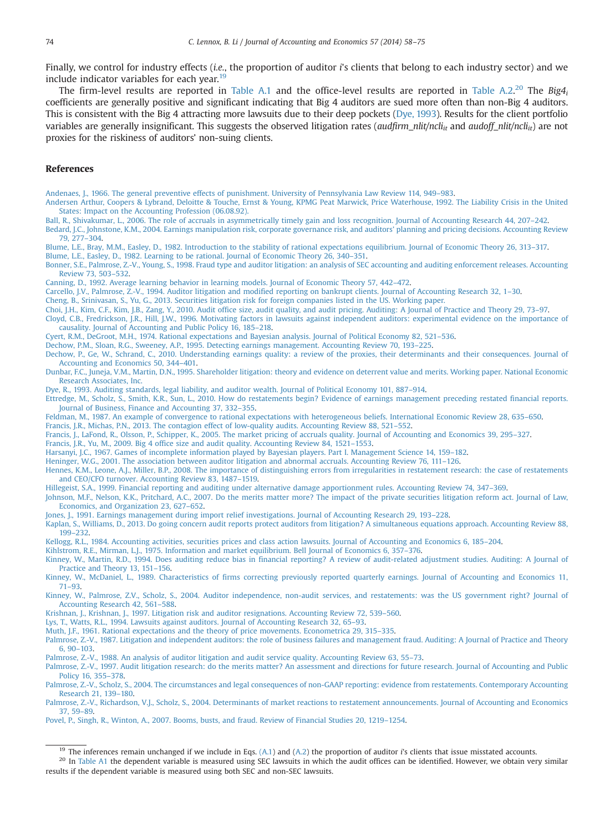<span id="page-16-0"></span>Finally, we control for industry effects (i.e., the proportion of auditor i's clients that belong to each industry sector) and we include indicator variables for each year.<sup>19</sup>

The firm-level results are reported in [Table A.1](#page-14-0) and the office-level results are reported in [Table A.2](#page-15-0). $^{20}$  The Big4<sub>i</sub> coefficients are generally positive and significant indicating that Big 4 auditors are sued more often than non-Big 4 auditors. This is consistent with the Big 4 attracting more lawsuits due to their deep pockets (Dye, 1993). Results for the client portfolio variables are generally insignificant. This suggests the observed litigation rates (audfirm\_nlit/ncli<sub>it</sub> and audoff\_nlit/ncli<sub>it</sub>) are not proxies for the riskiness of auditors' non-suing clients.

#### References

[Andenaes, J., 1966. The general preventive effects of punishment. University of Pennsylvania Law Review 114, 949](http://refhub.elsevier.com/S0165-4101(13)00059-1/sbref1)–983.

[Andersen Arthur, Coopers](http://refhub.elsevier.com/S0165-4101(13)00059-1/othref0005) [& Lybrand, Deloitte](http://refhub.elsevier.com/S0165-4101(13)00059-1/othref0005) & [Touche, Ernst & Young, KPMG Peat Marwick, Price Waterhouse, 1992. The Liability Crisis in the United](http://refhub.elsevier.com/S0165-4101(13)00059-1/othref0005) [States: Impact on the Accounting Profession \(06.08.92\).](http://refhub.elsevier.com/S0165-4101(13)00059-1/othref0005)

[Ball, R., Shivakumar, L., 2006. The role of accruals in asymmetrically timely gain and loss recognition. Journal of Accounting Research 44, 207](http://refhub.elsevier.com/S0165-4101(13)00059-1/sbref2)–242.

[Bedard, J.C., Johnstone, K.M., 2004. Earnings manipulation risk, corporate governance risk, and auditors](http://refhub.elsevier.com/S0165-4101(13)00059-1/sbref3)' planning and pricing decisions. Accounting Review [79, 277](http://refhub.elsevier.com/S0165-4101(13)00059-1/sbref3)–304.

[Blume, L.E., Bray, M.M., Easley, D., 1982. Introduction to the stability of rational expectations equilibrium. Journal of Economic Theory 26, 313](http://refhub.elsevier.com/S0165-4101(13)00059-1/sbref4)–317.

[Blume, L.E., Easley, D., 1982. Learning to be rational. Journal of Economic Theory 26, 340](http://refhub.elsevier.com/S0165-4101(13)00059-1/sbref5)–351.

[Bonner, S.E., Palmrose, Z.-V., Young, S., 1998. Fraud type and auditor litigation: an analysis of SEC accounting and auditing enforcement releases.](http://refhub.elsevier.com/S0165-4101(13)00059-1/sbref6) Accounting [Review 73, 503](http://refhub.elsevier.com/S0165-4101(13)00059-1/sbref6)–532.

[Canning, D., 1992. Average learning behavior in learning models. Journal of Economic Theory 57, 442](http://refhub.elsevier.com/S0165-4101(13)00059-1/sbref7)–472.

[Carcello, J.V., Palmrose, Z.-V., 1994. Auditor litigation and modified reporting on bankrupt clients. Journal of Accounting Research 32, 1](http://refhub.elsevier.com/S0165-4101(13)00059-1/sbref8)–30.

[Cheng, B., Srinivasan, S., Yu, G., 2013. Securities litigation risk for foreign companies listed in the US. Working paper.](http://refhub.elsevier.com/S0165-4101(13)00059-1/othref0010)

[Choi, J.H., Kim, C.F., Kim, J.B., Zang, Y., 2010. Audit office size, audit quality, and audit pricing. Auditing: A Journal of Practice and Theory 29, 73](http://refhub.elsevier.com/S0165-4101(13)00059-1/sbref9)–97. [Cloyd, C.B., Fredrickson, J.R., Hill, J.W., 1996. Motivating factors in lawsuits against independent auditors: experimental evidence on the importance of](http://refhub.elsevier.com/S0165-4101(13)00059-1/sbref10) [causality. Journal of Accounting and Public Policy 16, 185](http://refhub.elsevier.com/S0165-4101(13)00059-1/sbref10)–218.

[Cyert, R.M., DeGroot, M.H., 1974. Rational expectations and Bayesian analysis. Journal of Political Economy 82, 521](http://refhub.elsevier.com/S0165-4101(13)00059-1/sbref11)–536.

[Dechow, P.M., Sloan, R.G., Sweeney, A.P., 1995. Detecting earnings management. Accounting Review 70, 193](http://refhub.elsevier.com/S0165-4101(13)00059-1/sbref12)–225.

[Dechow, P., Ge, W., Schrand, C., 2010. Understanding earnings quality: a review of the proxies, their determinants and their consequences. Journal of](http://refhub.elsevier.com/S0165-4101(13)00059-1/sbref13) [Accounting and Economics 50, 344](http://refhub.elsevier.com/S0165-4101(13)00059-1/sbref13)–401.

[Dunbar, F.C., Juneja, V.M., Martin, D.N., 1995. Shareholder litigation: theory and evidence on deterrent value and merits. Working paper. National](http://refhub.elsevier.com/S0165-4101(13)00059-1/othref0015) Economic [Research Associates, Inc.](http://refhub.elsevier.com/S0165-4101(13)00059-1/othref0015)

[Dye, R., 1993. Auditing standards, legal liability, and auditor wealth. Journal of Political Economy 101, 887](http://refhub.elsevier.com/S0165-4101(13)00059-1/sbref14)–914.

[Ettredge, M., Scholz, S., Smith, K.R., Sun, L., 2010. How do restatements begin? Evidence of earnings management preceding restated financial reports.](http://refhub.elsevier.com/S0165-4101(13)00059-1/sbref15) [Journal of Business, Finance and Accounting 37, 332](http://refhub.elsevier.com/S0165-4101(13)00059-1/sbref15)–355.

[Feldman, M., 1987. An example of convergence to rational expectations with heterogeneous beliefs. International Economic Review 28, 635](http://refhub.elsevier.com/S0165-4101(13)00059-1/sbref16)–650.

[Francis, J.R., Michas, P.N., 2013. The contagion effect of low-quality audits. Accounting Review 88, 521](http://refhub.elsevier.com/S0165-4101(13)00059-1/sbref17)–552.

[Francis, J., LaFond, R., Olsson, P., Schipper, K., 2005. The market pricing of accruals quality. Journal of Accounting and Economics 39, 295](http://refhub.elsevier.com/S0165-4101(13)00059-1/sbref18)–327.

[Francis, J.R., Yu, M., 2009. Big 4 office size and audit quality. Accounting Review 84, 1521](http://refhub.elsevier.com/S0165-4101(13)00059-1/sbref19)–1553.

[Harsanyi, J.C., 1967. Games of incomplete information played by Bayesian players. Part I. Management Science 14, 159](http://refhub.elsevier.com/S0165-4101(13)00059-1/sbref20)–182.

[Heninger, W.G., 2001. The association between auditor litigation and abnormal accruals. Accounting Review 76, 111](http://refhub.elsevier.com/S0165-4101(13)00059-1/sbref21)–126.

[Hennes, K.M., Leone, A.J., Miller, B.P., 2008. The importance of distinguishing errors from irregularities in restatement research: the case of restatements](http://refhub.elsevier.com/S0165-4101(13)00059-1/sbref22) [and CEO/CFO turnover. Accounting Review 83, 1487](http://refhub.elsevier.com/S0165-4101(13)00059-1/sbref22)–1519.

[Hillegeist, S.A., 1999. Financial reporting and auditing under alternative damage apportionment rules. Accounting Review 74, 347](http://refhub.elsevier.com/S0165-4101(13)00059-1/sbref23)–369.

[Johnson, M.F., Nelson, K.K., Pritchard, A.C., 2007. Do the merits matter more? The impact of the private securities litigation reform act. Journal of](http://refhub.elsevier.com/S0165-4101(13)00059-1/sbref24) Law, [Economics, and Organization 23, 627](http://refhub.elsevier.com/S0165-4101(13)00059-1/sbref24)–652.

[Jones, J., 1991. Earnings management during import relief investigations. Journal of Accounting Research 29, 193](http://refhub.elsevier.com/S0165-4101(13)00059-1/sbref25)–228.

[Kaplan, S., Williams, D., 2013. Do going concern audit reports protect auditors from litigation? A simultaneous equations approach. Accounting Review 88,](http://refhub.elsevier.com/S0165-4101(13)00059-1/sbref26) 199–[232.](http://refhub.elsevier.com/S0165-4101(13)00059-1/sbref26)

[Kellogg, R.L., 1984. Accounting activities, securities prices and class action lawsuits. Journal of Accounting and Economics 6, 185](http://refhub.elsevier.com/S0165-4101(13)00059-1/sbref27)–204.

[Kihlstrom, R.E., Mirman, L.J., 1975. Information and market equilibrium. Bell Journal of Economics 6, 357](http://refhub.elsevier.com/S0165-4101(13)00059-1/sbref28)–376. [Kinney, W., Martin, R.D., 1994. Does auditing reduce bias in financial reporting? A review of audit-related adjustment studies. Auditing: A Journal](http://refhub.elsevier.com/S0165-4101(13)00059-1/sbref29) of

[Practice and Theory 13, 151](http://refhub.elsevier.com/S0165-4101(13)00059-1/sbref29)–156.

[Kinney, W., McDaniel, L., 1989. Characteristics of firms correcting previously reported quarterly earnings. Journal of Accounting and Economics 11,](http://refhub.elsevier.com/S0165-4101(13)00059-1/sbref30) 71–[93.](http://refhub.elsevier.com/S0165-4101(13)00059-1/sbref30)

[Kinney, W., Palmrose, Z.V., Scholz, S., 2004. Auditor independence, non-audit services, and restatements: was the US government right? Journal of](http://refhub.elsevier.com/S0165-4101(13)00059-1/sbref31) [Accounting Research 42, 561](http://refhub.elsevier.com/S0165-4101(13)00059-1/sbref31)–588.

[Krishnan, J., Krishnan, J., 1997. Litigation risk and auditor resignations. Accounting Review 72, 539](http://refhub.elsevier.com/S0165-4101(13)00059-1/sbref32)–560.

[Lys, T., Watts, R.L., 1994. Lawsuits against auditors. Journal of Accounting Research 32, 65](http://refhub.elsevier.com/S0165-4101(13)00059-1/sbref33)–93.

[Muth, J.F., 1961. Rational expectations and the theory of price movements. Econometrica 29, 315](http://refhub.elsevier.com/S0165-4101(13)00059-1/sbref34)–335.

[Palmrose, Z.-V., 1987. Litigation and independent auditors: the role of business failures and management fraud. Auditing: A Journal of Practice and](http://refhub.elsevier.com/S0165-4101(13)00059-1/sbref35) Theory [6, 90](http://refhub.elsevier.com/S0165-4101(13)00059-1/sbref35)–103.

[Palmrose, Z.-V., 1988. An analysis of auditor litigation and audit service quality. Accounting Review 63, 55](http://refhub.elsevier.com/S0165-4101(13)00059-1/sbref36)–73.

[Palmrose, Z.-V., 1997. Audit litigation research: do the merits matter? An assessment and directions for future research. Journal of Accounting and](http://refhub.elsevier.com/S0165-4101(13)00059-1/sbref37) Public [Policy 16, 355](http://refhub.elsevier.com/S0165-4101(13)00059-1/sbref37)–378.

[Palmrose, Z.-V., Scholz, S., 2004. The circumstances and legal consequences of non-GAAP reporting: evidence from restatements. Contemporary Accounting](http://refhub.elsevier.com/S0165-4101(13)00059-1/sbref38) [Research 21, 139](http://refhub.elsevier.com/S0165-4101(13)00059-1/sbref38)–180.

[Palmrose, Z.-V., Richardson, V.J., Scholz, S., 2004. Determinants of market reactions to restatement announcements. Journal of Accounting and Economics](http://refhub.elsevier.com/S0165-4101(13)00059-1/sbref39) [37, 59](http://refhub.elsevier.com/S0165-4101(13)00059-1/sbref39)–89.

[Povel, P., Singh, R., Winton, A., 2007. Booms, busts, and fraud. Review of Financial Studies 20, 1219](http://refhub.elsevier.com/S0165-4101(13)00059-1/sbref40)–1254.

 $20$  In [Table A1](#page-14-0) the dependent variable is measured using SEC lawsuits in which the audit offices can be identified. However, we obtain very similar results if the dependent variable is measured using both SEC and non-SEC lawsuits.

<sup>&</sup>lt;sup>19</sup> The inferences remain unchanged if we include in Eqs.  $(A.1)$  $(A.1)$  and  $(A.2)$  $(A.2)$  the proportion of auditor *i*'s clients that issue misstated accounts.